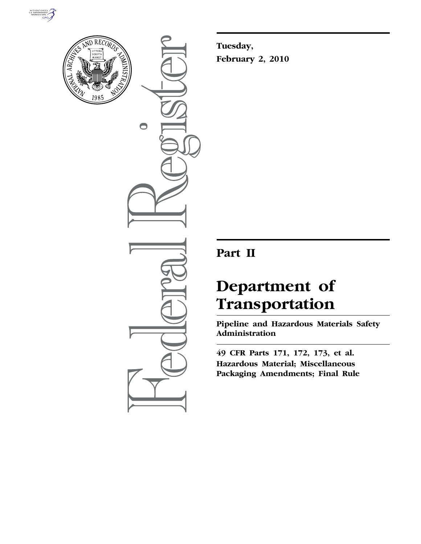



 $\bigcirc$ 

**Tuesday, February 2, 2010** 

### **Part II**

## **Department of Transportation**

**Pipeline and Hazardous Materials Safety Administration** 

**49 CFR Parts 171, 172, 173, et al. Hazardous Material; Miscellaneous Packaging Amendments; Final Rule**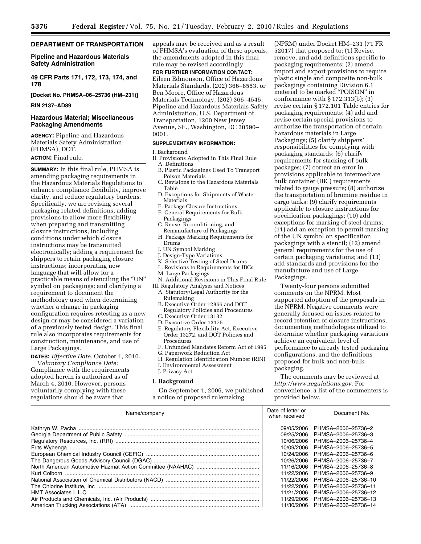#### **DEPARTMENT OF TRANSPORTATION**

**Pipeline and Hazardous Materials Safety Administration** 

**49 CFR Parts 171, 172, 173, 174, and 178** 

**[Docket No. PHMSA–06–25736 (HM–231)]** 

#### **RIN 2137–AD89**

#### **Hazardous Material; Miscellaneous Packaging Amendments**

**AGENCY:** Pipeline and Hazardous Materials Safety Administration (PHMSA), DOT.

#### **ACTION:** Final rule.

**SUMMARY:** In this final rule, PHMSA is amending packaging requirements in the Hazardous Materials Regulations to enhance compliance flexibility, improve clarity, and reduce regulatory burdens. Specifically, we are revising several packaging related definitions; adding provisions to allow more flexibility when preparing and transmitting closure instructions, including conditions under which closure instructions may be transmitted electronically; adding a requirement for shippers to retain packaging closure instructions; incorporating new language that will allow for a practicable means of stenciling the ''UN'' symbol on packagings; and clarifying a requirement to document the methodology used when determining whether a change in packaging configuration requires retesting as a new design or may be considered a variation of a previously tested design. This final rule also incorporates requirements for construction, maintenance, and use of Large Packagings.

**DATES:** *Effective Date:* October 1, 2010.

*Voluntary Compliance Date:*  Compliance with the requirements adopted herein is authorized as of March 4, 2010. However, persons voluntarily complying with these regulations should be aware that

appeals may be received and as a result of PHMSA's evaluation of these appeals, the amendments adopted in this final rule may be revised accordingly.

**FOR FURTHER INFORMATION CONTACT:**  Eileen Edmonson, Office of Hazardous Materials Standards, (202) 366–8553, or Ben Moore, Office of Hazardous Materials Technology, (202) 366–4545; Pipeline and Hazardous Materials Safety Administration, U.S. Department of Transportation, 1200 New Jersey Avenue, SE., Washington, DC 20590– 0001.

#### **SUPPLEMENTARY INFORMATION:**

I. Background

- II. Provisions Adopted in This Final Rule A. Definitions
- B. Plastic Packagings Used To Transport Poison Materials
- C. Revisions to the Hazardous Materials Table
- D. Exceptions for Shipments of Waste Materials
- E. Package Closure Instructions
- F. General Requirements for Bulk Packagings
- G. Reuse, Reconditioning, and Remanufacture of Packagings
- H. Package Marking Requirements for Drums
- I. UN Symbol Marking
- J. Design-Type Variations
- K. Selective Testing of Steel Drums
- L. Revisions to Requirements for IBCs
- M. Large Packagings
- N. Additional Revisions in This Final Rule
- III. Regulatory Analyses and Notices
	- A. Statutory/Legal Authority for the Rulemaking
	- B. Executive Order 12866 and DOT Regulatory Policies and Procedures
	- C. Executive Order 13132
- D. Executive Order 13175
- E. Regulatory Flexibility Act, Executive Order 13272, and DOT Policies and Procedures
- F. Unfunded Mandates Reform Act of 1995
- G. Paperwork Reduction Act
- H. Regulation Identification Number (RIN)
- I. Environmental Assessment
- J. Privacy Act

#### **I. Background**

On September 1, 2006, we published a notice of proposed rulemaking

(NPRM) under Docket HM–231 (71 FR 52017) that proposed to: (1) Revise, remove, and add definitions specific to packaging requirements; (2) amend import and export provisions to require plastic single and composite non-bulk packagings containing Division 6.1 material to be marked ''POISON'' in conformance with § 172.313(b); (3) revise certain § 172.101 Table entries for packaging requirements; (4) add and revise certain special provisions to authorize the transportation of certain hazardous materials in Large Packagings; (5) clarify shippers' responsibilities for complying with packaging standards; (6) clarify requirements for stacking of bulk packages; (7) correct an error in provisions applicable to intermediate bulk container (IBC) requirements related to gauge pressure; (8) authorize the transportation of bromine residue in cargo tanks; (9) clarify requirements applicable to closure instructions for specification packagings; (10) add exceptions for marking of steel drums; (11) add an exception to permit marking of the UN symbol on specification packagings with a stencil; (12) amend general requirements for the use of certain packaging variations; and (13) add standards and provisions for the manufacture and use of Large

Packagings.

Twenty-four persons submitted comments on the NPRM. Most supported adoption of the proposals in the NPRM. Negative comments were generally focused on issues related to record retention of closure instructions, documenting methodologies utilized to determine whether packaging variations achieve an equivalent level of performance to already tested packaging configurations, and the definitions proposed for bulk and non-bulk packaging.

The comments may be reviewed at *http://www.regulations.gov.* For convenience, a list of the commenters is provided below.

| Name/company | Date of letter or<br>when received | Document No.        |
|--------------|------------------------------------|---------------------|
|              | 09/05/2006                         | PHMSA-2006-25736-2  |
|              | 09/25/2006                         | PHMSA-2006-25736-3  |
|              | 10/06/2006                         | PHMSA-2006-25736-4  |
|              | 10/09/2006                         | PHMSA-2006-25736-5  |
|              | 10/24/2006                         | PHMSA-2006-25736-6  |
|              | 10/26/2006                         | PHMSA-2006-25736-7  |
|              | 11/16/2006                         | PHMSA-2006-25736-8  |
|              | 11/22/2006                         | PHMSA-2006-25736-9  |
|              | 11/22/2006                         | PHMSA-2006-25736-10 |
|              | 11/22/2006                         | PHMSA-2006-25736-11 |
|              | 11/21/2006                         | PHMSA-2006-25736-12 |
|              | 11/29/2006                         | PHMSA-2006-25736-13 |
|              | 11/30/2006                         | PHMSA-2006-25736-14 |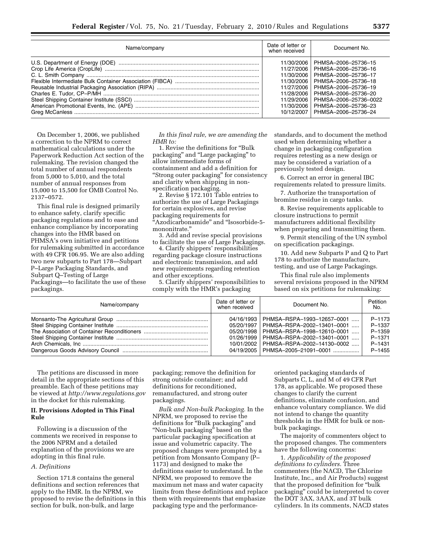| Name/company | Date of letter or<br>when received | Document No.          |
|--------------|------------------------------------|-----------------------|
|              | 11/30/2006                         | PHMSA-2006-25736-15   |
|              | 11/27/2006                         | PHMSA-2006-25736-16   |
|              | 11/30/2006                         | PHMSA-2006-25736-17   |
|              | 11/30/2006                         | PHMSA-2006-25736-18   |
|              | 11/27/2006                         | PHMSA-2006-25736-19   |
|              | 11/28/2006                         | PHMSA-2006-25736-20   |
|              | 11/29/2006                         | PHMSA-2006-25736-0022 |
|              | 11/30/2006                         | PHMSA-2006-25736-23   |
|              | 10/12/2007                         | PHMSA-2006-25736-24   |

On December 1, 2006, we published a correction to the NPRM to correct mathematical calculations under the Paperwork Reduction Act section of the rulemaking. The revision changed the total number of annual respondents from 5,000 to 5,010, and the total number of annual responses from 15,000 to 15,500 for OMB Control No. 2137–0572.

This final rule is designed primarily to enhance safety, clarify specific packaging regulations and to ease and enhance compliance by incorporating changes into the HMR based on PHMSA's own initiative and petitions for rulemaking submitted in accordance with 49 CFR 106.95. We are also adding two new subparts to Part 178—Subpart P–Large Packaging Standards, and Subpart Q–Testing of Large Packagings—to facilitate the use of these packagings.

*In this final rule, we are amending the HMR to:* 

1. Revise the definitions for ''Bulk packaging'' and ''Large packaging'' to allow intermediate forms of containment and add a definition for ''Strong outer packaging'' for consistency and clarity when shipping in nonspecification packaging.

2. Revise § 172.101 Table entries to authorize the use of Large Packagings for certain explosives, and revise packaging requirements for ''Azodicarbonamide'' and ''Isosorbide-5 mononitrate.''

3. Add and revise special provisions to facilitate the use of Large Packagings.

4. Clarify shippers' responsibilities regarding package closure instructions and electronic transmission, and add new requirements regarding retention and other exceptions.

5. Clarify shippers' responsibilities to comply with the HMR's packaging

standards, and to document the method used when determining whether a change in packaging configuration requires retesting as a new design or may be considered a variation of a previously tested design.

6. Correct an error in general IBC requirements related to pressure limits.

7. Authorize the transportation of bromine residue in cargo tanks.

8. Revise requirements applicable to closure instructions to permit manufacturers additional flexibility when preparing and transmitting them.

9. Permit stenciling of the UN symbol on specification packagings.

10. Add new Subparts P and Q to Part 178 to authorize the manufacture, testing, and use of Large Packagings.

This final rule also implements several revisions proposed in the NPRM based on six petitions for rulemaking:

| Name/company | Date of letter or<br>when received | Document No.                            | Petition<br>No. |
|--------------|------------------------------------|-----------------------------------------|-----------------|
|              |                                    | 04/16/1993   PHMSA-RSPA-1993-12657-0001 | P-1173          |
|              |                                    | 05/20/1997 PHMSA-RSPA-2002-13401-0001   | P-1337          |
|              |                                    | 05/20/1998 PHMSA-RSPA-1998-12610-0001   | P-1359          |
|              |                                    | 01/26/1999 PHMSA-RSPA-2002-13401-0001   | P-1371          |
|              |                                    | 10/01/2002 PHMSA-RSPA-2002-14130-0002   | P-1431          |
|              |                                    | 04/19/2005   PHMSA-2005-21091-0001      | P-1455          |

The petitions are discussed in more detail in the appropriate sections of this preamble. Each of these petitions may be viewed at *http://www.regulations.gov*  in the docket for this rulemaking.

#### **II. Provisions Adopted in This Final Rule**

Following is a discussion of the comments we received in response to the 2006 NPRM and a detailed explanation of the provisions we are adopting in this final rule.

#### *A. Definitions*

Section 171.8 contains the general definitions and section references that apply to the HMR. In the NPRM, we proposed to revise the definitions in this section for bulk, non-bulk, and large

packaging; remove the definition for strong outside container; and add definitions for reconditioned, remanufactured, and strong outer packagings.

*Bulk and Non-bulk Packaging.* In the NPRM, we proposed to revise the definitions for ''Bulk packaging'' and ''Non-bulk packaging'' based on the particular packaging specification at issue and volumetric capacity. The proposed changes were prompted by a petition from Monsanto Company (P– 1173) and designed to make the definitions easier to understand. In the NPRM, we proposed to remove the maximum net mass and water capacity limits from these definitions and replace them with requirements that emphasize packaging type and the performanceoriented packaging standards of Subparts C, L, and M of 49 CFR Part 178, as applicable. We proposed these changes to clarify the current definitions, eliminate confusion, and enhance voluntary compliance. We did not intend to change the quantity thresholds in the HMR for bulk or nonbulk packagings.

The majority of commenters object to the proposed changes. The commenters have the following concerns:

1. *Applicability of the proposed definitions to cylinders.* Three commenters (the NACD, The Chlorine Institute, Inc., and Air Products) suggest that the proposed definition for ''bulk packaging'' could be interpreted to cover the DOT 3AX, 3AAX, and 3T bulk cylinders. In its comments, NACD states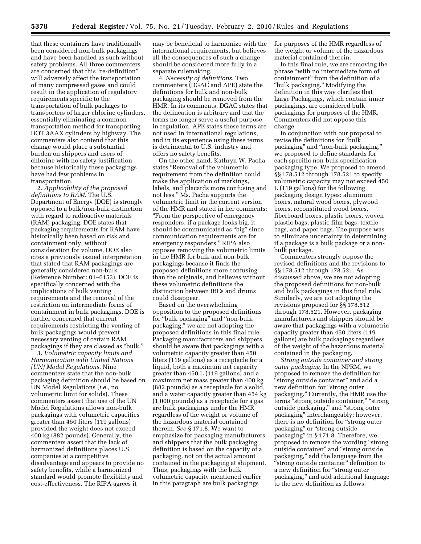that these containers have traditionally been considered non-bulk packagings and have been handled as such without safety problems. All three commenters are concerned that this ''re-definition'' will adversely affect the transportation of many compressed gases and could result in the application of regulatory requirements specific to the transportation of bulk packages to transporters of larger chlorine cylinders, essentially eliminating a common transportation method for transporting DOT 3AAX cylinders by highway. The commenters also contend that this change would place a substantial burden on shippers and users of chlorine with no safety justification because historically these packagings have had few problems in transportation.

2. *Applicability of the proposed definitions to RAM.* The U.S. Department of Energy (DOE) is strongly opposed to a bulk/non-bulk distinction with regard to radioactive materials (RAM) packaging. DOE states that packaging requirements for RAM have historically been based on risk and containment only, without consideration for volume. DOE also cites a previously issued interpretation that stated that RAM packagings are generally considered non-bulk (Reference Number: 01–0153). DOE is specifically concerned with the implications of bulk venting requirements and the removal of the restriction on intermediate forms of containment in bulk packagings. DOE is further concerned that current requirements restricting the venting of bulk packagings would prevent necessary venting of certain RAM packagings if they are classed as ''bulk.''

3. *Volumetric capacity limits and Harmonization with United Nations (UN) Model Regulations.* Nine commenters state that the non-bulk packaging definition should be based on UN Model Regulations (*i.e.,* no volumetric limit for solids). These commenters assert that use of the UN Model Regulations allows non-bulk packagings with volumetric capacities greater than 450 liters (119 gallons) provided the weight does not exceed 400 kg (882 pounds). Generally, the commenters assert that the lack of harmonized definitions places U.S. companies at a competitive disadvantage and appears to provide no safety benefits, while a harmonized standard would promote flexibility and cost-effectiveness. The RIPA agrees it

may be beneficial to harmonize with the international requirements, but believes all the consequences of such a change should be considered more fully in a separate rulemaking.

4. *Necessity of definitions.* Two commenters (DGAC and APE) state the definitions for bulk and non-bulk packaging should be removed from the HMR. In its comments, DGAC states that the delineation is arbitrary and that the terms no longer serve a useful purpose in regulation. APE states these terms are not used in international regulations, and in its experience using these terms is detrimental to U.S. industry and offers no safety benefits.

On the other hand, Kathryn W. Pacha states ''Removal of the volumetric requirement from the definition could make the application of markings, labels, and placards more confusing and not less.'' Ms. Pacha supports the volumetric limit in the current version of the HMR and stated in her comments: ''From the perspective of emergency responders, if a package looks big, it should be communicated as ''big'' since communication requirements are for emergency responders.'' RIPA also opposes removing the volumetric limits in the HMR for bulk and non-bulk packagings because it finds the proposed definitions more confusing than the originals, and believes without these volumetric definitions the distinction between IBCs and drums could disappear.

Based on the overwhelming opposition to the proposed definitions for ''bulk packaging'' and ''non-bulk packaging,'' we are not adopting the proposed definitions in this final rule. Packaging manufacturers and shippers should be aware that packagings with a volumetric capacity greater than 450 liters (119 gallons) as a receptacle for a liquid, both a maximum net capacity greater than 450 L (119 gallons) and a maximum net mass greater than 400 kg (882 pounds) as a receptacle for a solid, and a water capacity greater than 454 kg (1,000 pounds) as a receptacle for a gas are bulk packagings under the HMR regardless of the weight or volume of the hazardous material contained therein. *See* § 171.8. We want to emphasize for packaging manufacturers and shippers that the bulk packaging definition is based on the capacity of a packaging, not on the actual amount contained in the packaging at shipment. Thus, packagings with the bulk volumetric capacity mentioned earlier in this paragraph are bulk packagings

for purposes of the HMR regardless of the weight or volume of the hazardous material contained therein.

In this final rule, we are removing the phrase ''with no intermediate form of containment'' from the definition of a ''bulk packaging.'' Modifying the definition in this way clarifies that Large Packagings, which contain inner packagings, are considered bulk packagings for purposes of the HMR. Commenters did not oppose this change.

In conjunction with our proposal to revise the definitions for ''bulk packaging'' and ''non-bulk packaging,'' we proposed to define standards for each specific non-bulk specification packaging type. We proposed to amend §§ 178.512 through 178.521 to specify volumetric capacity may not exceed 450 L (119 gallons) for the following packaging design types: aluminum boxes, natural wood boxes, plywood boxes, reconstituted wood boxes, fiberboard boxes, plastic boxes, woven plastic bags, plastic film bags, textile bags, and paper bags. The purpose was to eliminate uncertainty in determining if a package is a bulk package or a nonbulk package.

Commenters strongly oppose the revised definitions and the revisions to §§ 178.512 through 178.521. As discussed above, we are not adopting the proposed definitions for non-bulk and bulk packagings in this final rule. Similarly, we are not adopting the revisions proposed for §§ 178.512 through 178.521. However, packaging manufacturers and shippers should be aware that packagings with a volumetric capacity greater than 450 liters (119 gallons) are bulk packagings regardless of the weight of the hazardous material contained in the packaging.

*Strong outside container and strong outer packaging.* In the NPRM, we proposed to remove the definition for ''strong outside container'' and add a new definition for ''strong outer packaging.'' Currently, the HMR use the terms "strong outside container," "strong outside packaging,'' and ''strong outer packaging'' interchangeably; however, there is no definition for ''strong outer packaging'' or ''strong outside packaging'' in § 171.8. Therefore, we proposed to remove the wording ''strong outside container'' and ''strong outside packaging,'' add the language from the ''strong outside container'' definition to a new definition for ''strong outer packaging,'' and add additional language to the new definition as follows: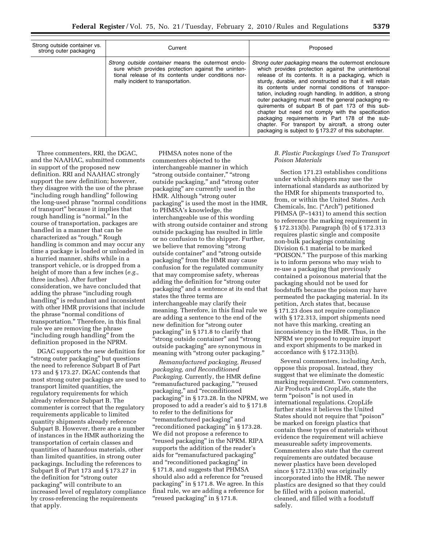| Strong outside container vs.<br>strong outer packaging | Current                                                                                                                                                                                                 | Proposed                                                                                                                                                                                                                                                                                                                                                                                                                                                                                                                                                                                                                                                                       |
|--------------------------------------------------------|---------------------------------------------------------------------------------------------------------------------------------------------------------------------------------------------------------|--------------------------------------------------------------------------------------------------------------------------------------------------------------------------------------------------------------------------------------------------------------------------------------------------------------------------------------------------------------------------------------------------------------------------------------------------------------------------------------------------------------------------------------------------------------------------------------------------------------------------------------------------------------------------------|
|                                                        | Strong outside container means the outermost enclo-<br>sure which provides protection against the uninten-<br>tional release of its contents under conditions nor-<br>mally incident to transportation. | Strong outer packaging means the outermost enclosure<br>which provides protection against the unintentional<br>release of its contents. It is a packaging, which is<br>sturdy, durable, and constructed so that it will retain<br>its contents under normal conditions of transpor-<br>tation, including rough handling. In addition, a strong<br>outer packaging must meet the general packaging re-<br>quirements of subpart B of part 173 of this sub-<br>chapter but need not comply with the specification<br>packaging reguirements in Part 178 of the sub-<br>chapter. For transport by aircraft, a strong outer<br>packaging is subject to §173.27 of this subchapter. |

Three commenters, RRI, the DGAC, and the NAAHAC, submitted comments in support of the proposed new definition. RRI and NAAHAC strongly support the new definition; however, they disagree with the use of the phrase ''including rough handling'' following the long-used phrase ''normal conditions of transport'' because it implies that rough handling is "normal." In the course of transportation, packages are handled in a manner that can be characterized as ''rough.'' Rough handling is common and may occur any time a package is loaded or unloaded in a hurried manner, shifts while in a transport vehicle, or is dropped from a height of more than a few inches (*e.g.,*  three inches). After further consideration, we have concluded that adding the phrase "including rough handling'' is redundant and inconsistent with other HMR provisions that include the phrase ''normal conditions of transportation.'' Therefore, in this final rule we are removing the phrase ''including rough handling'' from the definition proposed in the NPRM.

DGAC supports the new definition for ''strong outer packaging'' but questions the need to reference Subpart B of Part 173 and § 173.27. DGAC contends that most strong outer packagings are used to transport limited quantities, the regulatory requirements for which already reference Subpart B. The commenter is correct that the regulatory requirements applicable to limited quantity shipments already reference Subpart B. However, there are a number of instances in the HMR authorizing the transportation of certain classes and quantities of hazardous materials, other than limited quantities, in strong outer packagings. Including the references to Subpart B of Part 173 and § 173.27 in the definition for ''strong outer packaging'' will contribute to an increased level of regulatory compliance by cross-referencing the requirements that apply.

PHMSA notes none of the commenters objected to the interchangeable manner in which ''strong outside container,'' ''strong outside packaging,'' and ''strong outer packaging'' are currently used in the HMR. Although ''strong outer packaging'' is used the most in the HMR, to PHMSA's knowledge, the interchangeable use of this wording with strong outside container and strong outside packaging has resulted in little or no confusion to the shipper. Further, we believe that removing "strong outside container'' and ''strong outside packaging'' from the HMR may cause confusion for the regulated community that may compromise safety, whereas adding the definition for ''strong outer packaging'' and a sentence at its end that states the three terms are interchangeable may clarify their meaning. Therefore, in this final rule we are adding a sentence to the end of the new definition for ''strong outer packaging'' in § 171.8 to clarify that ''strong outside container'' and ''strong outside packaging'' are synonymous in meaning with ''strong outer packaging.''

*Remanufactured packaging, Reused packaging, and Reconditioned Packaging.* Currently, the HMR define ''remanufactured packaging,'' ''reused packaging,'' and ''reconditioned packaging'' in § 173.28. In the NPRM, we proposed to add a reader's aid to § 171.8 to refer to the definitions for ''remanufactured packaging'' and ''reconditioned packaging'' in § 173.28. We did not propose a reference to "reused packaging" in the NPRM. RIPA supports the addition of the reader's aids for ''remanufactured packaging'' and ''reconditioned packaging'' in § 171.8, and suggests that PHMSA should also add a reference for ''reused packaging'' in § 171.8. We agree. In this final rule, we are adding a reference for ''reused packaging'' in § 171.8.

#### *B. Plastic Packagings Used To Transport Poison Materials*

Section 171.23 establishes conditions under which shippers may use the international standards as authorized by the HMR for shipments transported to, from, or within the United States. Arch Chemicals, Inc. (''Arch'') petitioned PHMSA (P–1431) to amend this section to reference the marking requirement in § 172.313(b). Paragraph (b) of § 172.313 requires plastic single and composite non-bulk packagings containing Division 6.1 material to be marked ''POISON.'' The purpose of this marking is to inform persons who may wish to re-use a packaging that previously contained a poisonous material that the packaging should not be used for foodstuffs because the poison may have permeated the packaging material. In its petition, Arch states that, because § 171.23 does not require compliance with § 172.313, import shipments need not have this marking, creating an inconsistency in the HMR. Thus, in the NPRM we proposed to require import and export shipments to be marked in accordance with § 172.313(b).

Several commenters, including Arch, oppose this proposal. Instead, they suggest that we eliminate the domestic marking requirement. Two commenters, Air Products and CropLife, state the term "poison" is not used in international regulations. CropLife further states it believes the United States should not require that ''poison'' be marked on foreign plastics that contain these types of materials without evidence the requirement will achieve measureable safety improvements. Commenters also state that the current requirements are outdated because newer plastics have been developed since § 172.313(b) was originally incorporated into the HMR. The newer plastics are designed so that they could be filled with a poison material, cleaned, and filled with a foodstuff safely.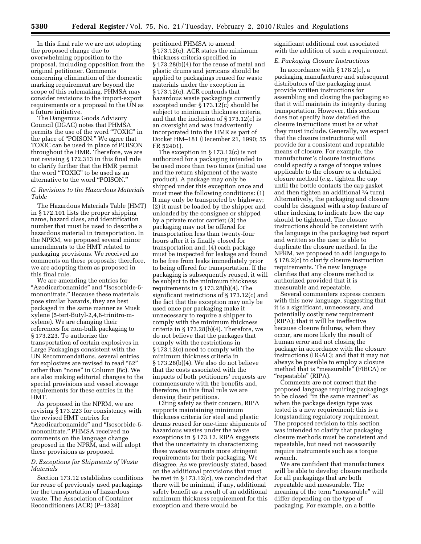In this final rule we are not adopting the proposed change due to overwhelming opposition to the proposal, including opposition from the original petitioner. Comments concerning elimination of the domestic marking requirement are beyond the scope of this rulemaking. PHMSA may consider revisions to the import-export requirements or a proposal to the UN as a future initiative.

The Dangerous Goods Advisory Council (DGAC) notes that PHMSA permits the use of the word ''TOXIC'' in the place of "POISON." We agree that TOXIC can be used in place of POISON throughout the HMR. Therefore, we are not revising § 172.313 in this final rule to clarify further that the HMR permit the word "TOXIC" to be used as an alternative to the word ''POISON.''

#### *C. Revisions to the Hazardous Materials Table*

The Hazardous Materials Table (HMT) in § 172.101 lists the proper shipping name, hazard class, and identification number that must be used to describe a hazardous material in transportation. In the NPRM, we proposed several minor amendments to the HMT related to packaging provisions. We received no comments on these proposals; therefore, we are adopting them as proposed in this final rule.

We are amending the entries for ''Azodicarbonamide'' and ''Isosorbide-5 mononitrate.'' Because these materials pose similar hazards, they are best packaged in the same manner as Musk xylene (5-tert-Butyl-2,4,6-trinitro-mxylene). We are changing their references for non-bulk packaging to § 173.223. To authorize the transportation of certain explosives in Large Packagings consistent with the UN Recommendations, several entries for explosives are revised to read "62" rather than "none" in Column (8c). We are also making editorial changes to the special provisions and vessel stowage requirements for these entries in the HMT.

As proposed in the NPRM, we are revising § 173.223 for consistency with the revised HMT entries for ''Azodicarbonamide'' and ''Isosorbide-5 mononitrate.'' PHMSA received no comments on the language change proposed in the NPRM, and will adopt these provisions as proposed.

#### *D. Exceptions for Shipments of Waste Materials*

Section 173.12 establishes conditions for reuse of previously used packagings for the transportation of hazardous waste. The Association of Container Reconditioners (ACR) (P–1328)

petitioned PHMSA to amend § 173.12(c). ACR states the minimum thickness criteria specified in § 173.28(b)(4) for the reuse of metal and plastic drums and jerricans should be applied to packagings reused for waste materials under the exception in § 173.12(c). ACR contends that hazardous waste packagings currently excepted under § 173.12(c) should be subject to minimum thickness criteria, and that the inclusion of § 173.12(c) is an oversight and was inadvertently incorporated into the HMR as part of Docket HM–181 (December 21, 1990; 55 FR 52401).

The exception in § 173.12(c) is not authorized for a packaging intended to be used more than two times (initial use and the return shipment of the waste product). A package may only be shipped under this exception once and must meet the following conditions: (1) It may only be transported by highway; (2) it must be loaded by the shipper and unloaded by the consignee or shipped by a private motor carrier; (3) the packaging may not be offered for transportation less than twenty-four hours after it is finally closed for transportation and; (4) each package must be inspected for leakage and found to be free from leaks immediately prior to being offered for transportation. If the packaging is subsequently reused, it will be subject to the minimum thickness requirements in § 173.28(b)(4). The significant restrictions of § 173.12(c) and the fact that the exception may only be used once per packaging make it unnecessary to require a shipper to comply with the minimum thickness criteria in § 173.28(b)(4). Therefore, we do not believe that the packages that comply with the restrictions in § 173.12(c) need to comply with the minimum thickness criteria in § 173.28(b)(4). We also do not believe that the costs associated with the impacts of both petitioners' requests are commensurate with the benefits and, therefore, in this final rule we are denying their petitions.

Citing safety as their concern, RIPA supports maintaining minimum thickness criteria for steel and plastic drums reused for one-time shipments of hazardous wastes under the waste exceptions in § 173.12. RIPA suggests that the uncertainty in characterizing these wastes warrants more stringent requirements for their packaging. We disagree. As we previously stated, based on the additional provisions that must be met in § 173.12(c), we concluded that there will be minimal, if any, additional safety benefit as a result of an additional minimum thickness requirement for this exception and there would be

significant additional cost associated with the addition of such a requirement.

#### *E. Packaging Closure Instructions*

In accordance with § 178.2(c), a packaging manufacturer and subsequent distributors of the packaging must provide written instructions for assembling and closing the packaging so that it will maintain its integrity during transportation. However, this section does not specify how detailed the closure instructions must be or what they must include. Generally, we expect that the closure instructions will provide for a consistent and repeatable means of closure. For example, the manufacturer's closure instructions could specify a range of torque values applicable to the closure or a detailed closure method (*e.g.,* tighten the cap until the bottle contacts the cap gasket and then tighten an additional  $\frac{3}{4}$  turn). Alternatively, the packaging and closure could be designed with a stop feature of other indexing to indicate how the cap should be tightened. The closure instructions should be consistent with the language in the packaging test report and written so the user is able to duplicate the closure method. In the NPRM, we proposed to add language to § 178.2(c) to clarify closure instruction requirements. The new language clarifies that any closure method is authorized provided that it is measurable and repeatable.

Several commenters express concern with this new language, suggesting that it is a significant, unnecessary, and potentially costly new requirement (RIPA); that it will be ineffective because closure failures, when they occur, are more likely the result of human error and not closing the package in accordance with the closure instructions (DGAC); and that it may not always be possible to employ a closure method that is "measurable" (FIBCA) or "repeatable" (RIPA).

Comments are not correct that the proposed language requiring packagings to be closed ''in the same manner'' as when the package design type was tested is a new requirement; this is a longstanding regulatory requirement. The proposed revision to this section was intended to clarify that packaging closure methods must be consistent and repeatable, but need not necessarily require instruments such as a torque wrench.

We are confident that manufacturers will be able to develop closure methods for all packagings that are both repeatable and measurable. The meaning of the term "measurable" will differ depending on the type of packaging. For example, on a bottle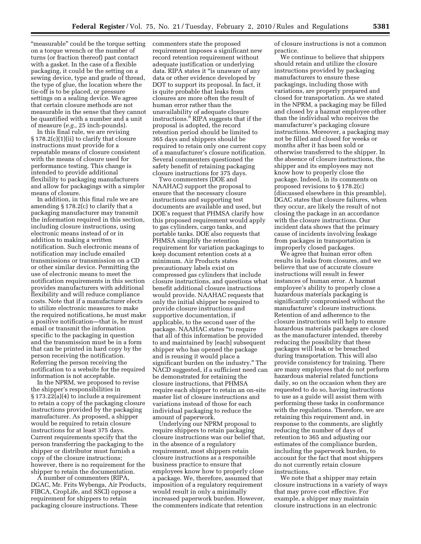"measurable" could be the torque setting on a torque wrench or the number of turns (or fraction thereof) past contact with a gasket. In the case of a flexible packaging, it could be the setting on a sewing device, type and grade of thread, the type of glue, the location where the tie-off is to be placed, or pressure settings on a sealing device. We agree that certain closure methods are not measurable in the sense that they cannot be quantified with a number and a unit of measure (*e.g.,* 25 inch-pounds).

In this final rule, we are revising § 178.2(c)(1)(ii) to clarify that closure instructions must provide for a repeatable means of closure consistent with the means of closure used for performance testing. This change is intended to provide additional flexibility to packaging manufacturers and allow for packagings with a simpler means of closure.

In addition, in this final rule we are amending § 178.2(c) to clarify that a packaging manufacturer may transmit the information required in this section, including closure instructions, using electronic means instead of or in addition to making a written notification. Such electronic means of notification may include emailed transmissions or transmission on a CD or other similar device. Permitting the use of electronic means to meet the notification requirements in this section provides manufacturers with additional flexibility and will reduce compliance costs. Note that if a manufacturer elects to utilize electronic measures to make the required notifications, he must make a positive notification—that is, he must email or transmit the information specific to the packaging in question and the transmission must be in a form that can be printed in hard copy by the person receiving the notification. Referring the person receiving the notification to a website for the required information is not acceptable.

In the NPRM, we proposed to revise the shipper's responsibilities in § 173.22(a)(4) to include a requirement to retain a copy of the packaging closure instructions provided by the packaging manufacturer. As proposed, a shipper would be required to retain closure instructions for at least 375 days. Current requirements specify that the person transferring the packaging to the shipper or distributor must furnish a copy of the closure instructions; however, there is no requirement for the shipper to retain the documentation.

A number of commenters (RIPA, DGAC, Mr. Frits Wybenga, Air Products, FIBCA, CropLife, and SSCI) oppose a requirement for shippers to retain packaging closure instructions. These

commenters state the proposed requirement imposes a significant new record retention requirement without adequate justification or underlying data. RIPA states it ''is unaware of any data or other evidence developed by DOT to support its proposal. In fact, it is quite probable that leaks from closures are more often the result of human error rather than the unavailability of adequate closure instructions.'' RIPA suggests that if the proposal is adopted, the record retention period should be limited to 365 days and shippers should be required to retain only one current copy of a manufacturer's closure notification. Several commenters questioned the safety benefit of retaining packaging closure instructions for 375 days.

Two commenters (DOE and NAAHAC) support the proposal to ensure that the necessary closure instructions and supporting test documents are available and used, but DOE's request that PHMSA clarify how this proposed requirement would apply to gas cylinders, cargo tanks, and portable tanks. DOE also requests that PHMSA simplify the retention requirement for variation packagings to keep document retention costs at a minimum. Air Products states precautionary labels exist on compressed gas cylinders that include closure instructions, and questions what benefit additional closure instructions would provide. NAAHAC requests that only the initial shipper be required to provide closure instructions and supportive documentation, if applicable, to the second user of the package. NAAHAC states ''to require that all of this information be provided to and maintained by [each] subsequent shipper who has opened the package and is reusing it would place a significant burden on the industry.'' The NACD suggested, if a sufficient need can be demonstrated for retaining the closure instructions, that PHMSA require each shipper to retain an on-site master list of closure instructions and variations instead of those for each individual packaging to reduce the amount of paperwork.

Underlying our NPRM proposal to require shippers to retain packaging closure instructions was our belief that, in the absence of a regulatory requirement, most shippers retain closure instructions as a responsible business practice to ensure that employees know how to properly close a package. We, therefore, assumed that imposition of a regulatory requirement would result in only a minimally increased paperwork burden. However, the commenters indicate that retention

of closure instructions is not a common practice.

We continue to believe that shippers should retain and utilize the closure instructions provided by packaging manufacturers to ensure these packagings, including those with variations, are properly prepared and closed for transportation. As we stated in the NPRM, a packaging may be filled and closed by a hazmat employee other than the individual who receives the manufacturer's packaging closure instructions. Moreover, a packaging may not be filled and closed for weeks or months after it has been sold or otherwise transferred to the shipper. In the absence of closure instructions, the shipper and its employees may not know how to properly close the package. Indeed, in its comments on proposed revisions to § 178.2(c) (discussed elsewhere in this preamble), DGAC states that closure failures, when they occur, are likely the result of not closing the package in an accordance with the closure instructions. Our incident data shows that the primary cause of incidents involving leakage from packages in transportation is improperly closed packages.

We agree that human error often results in leaks from closures, and we believe that use of accurate closure instructions will result in fewer instances of human error. A hazmat employee's ability to properly close a hazardous materials packaging is significantly compromised without the manufacturer's closure instructions. Retention of and adherence to the closure instructions will help to ensure hazardous materials packages are closed as the manufacturer intended, thereby reducing the possibility that these packages will leak or be breached during transportation. This will also provide consistency for training. There are many employees that do not perform hazardous material related functions daily, so on the occasion when they are requested to do so, having instructions to use as a guide will assist them with performing these tasks in conformance with the regulations. Therefore, we are retaining this requirement and, in response to the comments, are slightly reducing the number of days of retention to 365 and adjusting our estimates of the compliance burden, including the paperwork burden, to account for the fact that most shippers do not currently retain closure instructions.

We note that a shipper may retain closure instructions in a variety of ways that may prove cost effective. For example, a shipper may maintain closure instructions in an electronic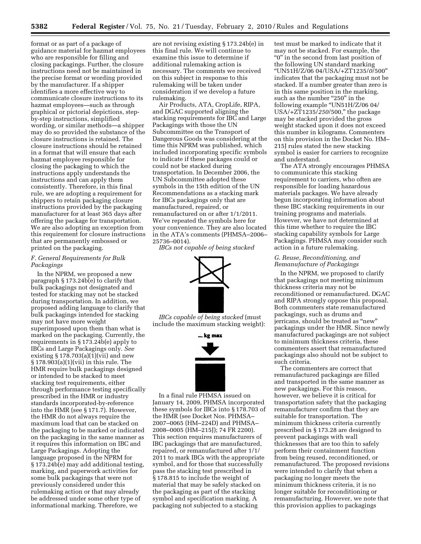**5382 Federal Register** / Vol. 75, No. 21 / Tuesday, February 2, 2010 / Rules and Regulations

format or as part of a package of guidance material for hazmat employees who are responsible for filling and closing packagings. Further, the closure instructions need not be maintained in the precise format or wording provided by the manufacturer. If a shipper identifies a more effective way to communicate closure instructions to its hazmat employees—such as through graphical or pictorial depictions, stepby-step instructions, simplified wording, or similar methods—a shipper may do so provided the substance of the closure instructions is retained. The closure instructions should be retained in a format that will ensure that each hazmat employee responsible for closing the packaging to which the instructions apply understands the instructions and can apply them consistently. Therefore, in this final rule, we are adopting a requirement for shippers to retain packaging closure instructions provided by the packaging manufacturer for at least 365 days after offering the package for transportation. We are also adopting an exception from this requirement for closure instructions that are permanently embossed or printed on the packaging.

#### *F. General Requirements for Bulk Packagings*

In the NPRM, we proposed a new paragraph § 173.24b(e) to clarify that bulk packagings not designated and tested for stacking may not be stacked during transportation. In addition, we proposed adding language to clarify that bulk packagings intended for stacking may not have more weight superimposed upon them than what is marked on the packaging. Currently, the requirements in § 173.24b(e) apply to IBCs and Large Packagings only. *See*  existing  $\S 178.703(a)(1)(vii)$  and new § 178.903(a)(1)(vii) in this rule. The HMR require bulk packagings designed or intended to be stacked to meet stacking test requirements, either through performance testing specifically prescribed in the HMR or industry standards incorporated-by-reference into the HMR (see § 171.7). However, the HMR do not always require the maximum load that can be stacked on the packaging to be marked or indicated on the packaging in the same manner as it requires this information on IBC and Large Packagings. Adopting the language proposed in the NPRM for § 173.24b(e) may add additional testing, marking, and paperwork activities for some bulk packagings that were not previously considered under this rulemaking action or that may already be addressed under some other type of informational marking. Therefore, we

are not revising existing § 173.24b(e) in this final rule. We will continue to examine this issue to determine if additional rulemaking action is necessary. The comments we received on this subject in response to this rulemaking will be taken under consideration if we develop a future rulemaking.

Air Products, ATA, CropLife, RIPA, and DGAC supported aligning the stacking requirements for IBC and Large Packagings with those the UN Subcommittee on the Transport of Dangerous Goods was considering at the time this NPRM was published, which included incorporating specific symbols to indicate if these packages could or could not be stacked during transportation. In December 2006, the UN Subcommittee adopted these symbols in the 15th edition of the UN Recommendations as a stacking mark for IBCs packagings only that are manufactured, repaired, or remanufactured on or after 1/1/2011. We've repeated the symbols here for your convenience. They are also located in the ATA's comments (PHMSA–2006– 25736–0014).

*IBCs not capable of being stacked* 



*IBCs capable of being stacked* (must include the maximum stacking weight):

... ke max



In a final rule PHMSA issued on January 14, 2009, PHMSA incorporated these symbols for IBCs into § 178.703 of the HMR (see Docket Nos. PHMSA– 2007–0065 (HM–224D) and PHMSA– 2008–0005 (HM–215J); 74 FR 2200). This section requires manufacturers of IBC packagings that are manufactured, repaired, or remanufactured after 1/1/ 2011 to mark IBCs with the appropriate symbol, and for those that successfully pass the stacking test prescribed in § 178.815 to include the weight of material that may be safely stacked on the packaging as part of the stacking symbol and specification marking. A packaging not subjected to a stacking

test must be marked to indicate that it may not be stacked. For example, the "0" in the second from last position of the following UN standard marking ''UN51H/Z/06 04/USA/+ZT1235/*0*/500'' indicates that the packaging must not be stacked. If a number greater than zero is in this same position in the marking, such as the number "250" in the following example ''UN51H/Z/06 04/ USA/+ZT1235/*250*/500,'' the package may be stacked provided the gross weight stacked upon it does not exceed this number in kilograms. Commenters on this provision in the Docket No. HM– 215J rules stated the new stacking symbol is easier for carriers to recognize and understand.

The ATA strongly encourages PHMSA to communicate this stacking requirement to carriers, who often are responsible for loading hazardous materials packages. We have already begun incorporating information about these IBC stacking requirements in our training programs and materials. However, we have not determined at this time whether to require the IBC stacking capability symbols for Large Packagings. PHMSA may consider such action in a future rulemaking.

#### *G. Reuse, Reconditioning, and Remanufacture of Packagings*

In the NPRM, we proposed to clarify that packagings not meeting minimum thickness criteria may not be reconditioned or remanufactured. DGAC and RIPA strongly oppose this proposal. Both commenters state remanufactured packagings, such as drums and jerricans, should be treated as ''new'' packagings under the HMR. Since newly manufactured packagings are not subject to minimum thickness criteria, these commenters assert that remanufactured packagings also should not be subject to such criteria.

The commenters are correct that remanufactured packagings are filled and transported in the same manner as new packagings. For this reason, however, we believe it is critical for transportation safety that the packaging remanufacturer confirm that they are suitable for transportation. The minimum thickness criteria currently prescribed in § 173.28 are designed to prevent packagings with wall thicknesses that are too thin to safely perform their containment function from being reused, reconditioned, or remanufactured. The proposed revisions were intended to clarify that when a packaging no longer meets the minimum thickness criteria, it is no longer suitable for reconditioning or remanufacturing. However, we note that this provision applies to packagings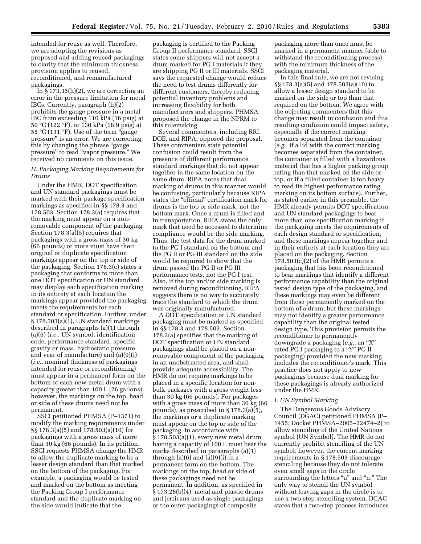intended for reuse as well. Therefore, we are adopting the revisions as proposed and adding reused packagings to clarify that the minimum thickness provision applies to reused, reconditioned, and remanufactured packagings.

In  $\S 173.35(h)(2)$ , we are correcting an error in the pressure limitation for metal IBCs. Currently, paragraph (h)(2) prohibits the gauge pressure in a metal IBC from exceeding 110 kPa (16 psig) at 50 °C (122 °F), or 130 kPa (18.9 psig) at 55 °C (131 °F). Use of the term "gauge pressure'' is an error. We are correcting this by changing the phrase ''gauge pressure'' to read ''vapor pressure.'' We received no comments on this issue.

#### *H. Packaging Marking Requirements for Drums*

Under the HMR, DOT specification and UN standard packagings must be marked with their package specification markings as specified in §§ 178.3 and 178.503. Section 178.3(a) requires that the marking must appear on a nonremovable component of the packaging. Section 178.3(a)(5) requires that packagings with a gross mass of 30 kg (66 pounds) or more must have their original or duplicate specification markings appear on the top or side of the packaging. Section 178.3(c) states a packaging that conforms to more than one DOT specification or UN standard may display each specification marking in its entirety at each location the markings appear provided the packaging meets the requirements for each standard or specification. Further, under § 178.503(a)(1), UN standard markings described in paragraphs (a)(1) through (a)(6) (*i.e.,* UN symbol, identification code, performance standard, specific gravity or mass, hydrostatic pressure, and year of manufacture) and (a)(9)(i) (*i.e.,* nominal thickness of packagings intended for reuse or reconditioning) must appear in a permanent form on the bottom of each new metal drum with a capacity greater than 100 L (26 gallons); however, the markings on the top, head or side of these drums need not be permanent.

SSCI petitioned PHMSA (P–1371) to modify the marking requirements under §§ 178.3(a)(5) and 178.503(a)(10) for packagings with a gross mass of more than 30 kg (66 pounds). In its petition, SSCI requests PHMSA change the HMR to allow the duplicate marking to be a lesser design standard than that marked on the bottom of the packaging. For example, a packaging would be tested and marked on the bottom as meeting the Packing Group I performance standard and the duplicate marking on the side would indicate that the

packaging is certified to the Packing Group II performance standard. SSCI states some shippers will not accept a drum marked for PG I materials if they are shipping PG II or III materials. SSCI says the requested change would reduce the need to test drums differently for different customers, thereby reducing potential inventory problems and increasing flexibility for both manufacturers and shippers. PHMSA proposed the change in the NPRM to this rulemaking.

Several commenters, including RRI, DOE, and RIPA, opposed the proposal. These commenters state potential confusion could result from the presence of different performance standard markings that do not appear together in the same location on the same drum. RIPA notes that dual marking of drums in this manner would be confusing, particularly because RIPA states the "official" certification mark for drums is the top or side mark, not the bottom mark. Once a drum is filled and in transportation, RIPA states the only mark that need be accessed to determine compliance would be the side marking. Thus, the test data for the drum marked to the PG I standard on the bottom and the PG II or PG III standard on the side would be required to show that the drum passed the PG II or PG III performance tests, not the PG I test. Also, if the top and/or side marking is removed during reconditioning, RIPA suggests there is no way to accurately trace the standard to which the drum was originally manufactured.

A DOT specification or UN standard packaging must be marked as specified in §§ 178.3 and 178.503. Section 178.3(a) specifies that the marking of DOT specification or UN standard packagings shall be placed on a nonremovable component of the packaging in an unobstructed area, and shall provide adequate accessibility. The HMR do not require markings to be placed in a specific location for nonbulk packages with a gross weight less than 30 kg (66 pounds). For packages with a gross mass of more than 30 kg (66 pounds), as prescribed in § 178.3(a)(5), the markings or a duplicate marking must appear on the top or side of the packaging. In accordance with § 178.503(a)(1), every new metal drum having a capacity of 100 L must bear the marks described in paragraphs (a)(1) through (a)(6) and (a)(9)(i) in a permanent form on the bottom. The markings on the top, head or side of these packagings need not be permanent. In addition, as specified in § 173.28(b)(4), metal and plastic drums and jerricans used as single packagings or the outer packagings of composite

packaging more than once must be marked in a permanent manner (able to withstand the reconditioning process) with the minimum thickness of the packaging material.

In this final rule, we are not revising §§ 178.3(a)(5) and 178.503(a)(10) to allow a lesser design standard to be marked on the side or top than that required on the bottom. We agree with the objecting commenters that this change may result in confusion and this resulting confusion could impact safety, especially if the correct marking becomes separated from the container (*e.g.,* if a lid with the correct marking becomes separated from the container, the container is filled with a hazardous material that has a higher packing group rating than that marked on the side or top, or if a filled container is too heavy to read its highest performance rating marking on its bottom surface). Further, as stated earlier in this preamble, the HMR already permits DOT specification and UN standard packagings to bear more than one specification marking if the packaging meets the requirements of each design standard or specification, and these markings appear together and in their entirety at each location they are placed on the packaging. Section  $178.503(c)(2)$  of the HMR permits a packaging that has been reconditioned to bear markings that identify a different performance capability than the original tested design type of the packaging, and these markings may even be different from those permanently marked on the bottom of a drum, but these markings may not identify a greater performance capability than the original tested design type. This provision permits the reconditioner to permanently downgrade a packaging (*e.g.,* an ''X'' rated PG I packaging to a " $\bar{Y}$ " PG II packaging) provided the new marking includes the reconditioner's mark. This practice does not apply to new packagings because dual marking for these packagings is already authorized under the HMR.

#### *I. UN Symbol Marking*

The Dangerous Goods Advisory Council (DGAC) petitioned PHMSA (P– 1455; Docket PHMSA–2005–22474–2) to allow stenciling of the United Nations symbol (UN Symbol). The HMR do not currently prohibit stenciling of the UN symbol; however, the current marking requirements in § 178.503 discourage stenciling because they do not tolerate even small gaps in the circle surrounding the letters "u" and "n." The only way to stencil the UN symbol without leaving gaps in the circle is to use a two-step stenciling system. DGAC states that a two-step process introduces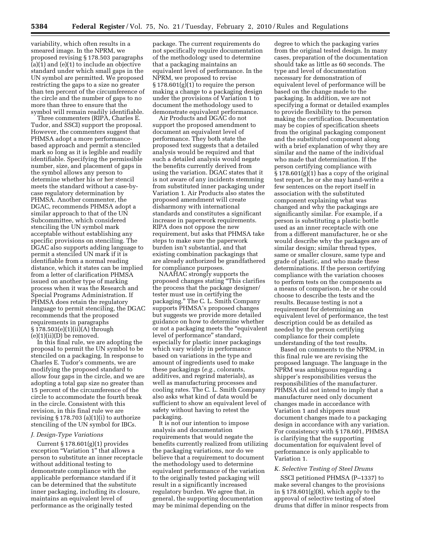variability, which often results in a smeared image. In the NPRM, we proposed revising § 178.503 paragraphs (a)(1) and (e)(1) to include an objective standard under which small gaps in the UN symbol are permitted. We proposed restricting the gaps to a size no greater than ten percent of the circumference of the circle and the number of gaps to no more than three to ensure that the symbol will remain readily identifiable.

Three commenters (RIPA, Charles E. Tudor, and SSCI) support the proposal. However, the commenters suggest that PHMSA adopt a more performancebased approach and permit a stenciled mark so long as it is legible and readily identifiable. Specifying the permissible number, size, and placement of gaps in the symbol allows any person to determine whether his or her stencil meets the standard without a case-bycase regulatory determination by PHMSA. Another commenter, the DGAC, recommends PHMSA adopt a similar approach to that of the UN Subcommittee, which considered stenciling the UN symbol mark acceptable without establishing any specific provisions on stenciling. The DGAC also supports adding language to permit a stenciled UN mark if it is identifiable from a normal reading distance, which it states can be implied from a letter of clarification PHMSA issued on another type of marking process when it was the Research and Special Programs Administration. If PHMSA does retain the regulatory language to permit stenciling, the DGAC recommends that the proposed requirements in paragraphs § 178.503(e)(1)(ii)(A) through  $(e)(1)(ii)(D)$  be removed.

In this final rule, we are adopting the proposal to permit the UN symbol to be stenciled on a packaging. In response to Charles E. Tudor's comments, we are modifying the proposed standard to allow four gaps in the circle, and we are adopting a total gap size no greater than 15 percent of the circumference of the circle to accommodate the fourth break in the circle. Consistent with this revision, in this final rule we are revising  $\S 178.703$  (a)(1)(i) to authorize stenciling of the UN symbol for IBCs.

#### *J. Design-Type Variations*

Current  $\S 178.601(g)(1)$  provides exception ''Variation 1'' that allows a person to substitute an inner receptacle without additional testing to demonstrate compliance with the applicable performance standard if it can be determined that the substitute inner packaging, including its closure, maintains an equivalent level of performance as the originally tested

package. The current requirements do not specifically require documentation of the methodology used to determine that a packaging maintains an equivalent level of performance. In the NPRM, we proposed to revise  $§ 178.601(g)(1)$  to require the person making a change to a packaging design under the provisions of Variation 1 to document the methodology used to demonstrate equivalent performance.

Air Products and DGAC do not support the proposed amendment to document an equivalent level of performance. They both state the proposed text suggests that a detailed analysis would be required and that such a detailed analysis would negate the benefits currently derived from using the variation. DGAC states that it is not aware of any incidents stemming from substituted inner packaging under Variation 1. Air Products also states the proposed amendment will create disharmony with international standards and constitutes a significant increase in paperwork requirements. RIPA does not oppose the new requirement, but asks that PHMSA take steps to make sure the paperwork burden isn't substantial, and that existing combination packagings that are already authorized be grandfathered for compliance purposes.

NAAHAC strongly supports the proposed changes stating ''This clarifies the process that the package designer/ tester must use in certifying the packaging.'' The C. L. Smith Company supports PHMSA's proposed changes but suggests we provide more detailed guidance on how to determine whether or not a packaging meets the ''equivalent level of performance'' standard, especially for plastic inner packagings which vary widely in performance based on variations in the type and amount of ingredients used to make these packagings (*e.g.,* colorants, additives, and regrind materials), as well as manufacturing processes and cooling rates. The C. L. Smith Company also asks what kind of data would be sufficient to show an equivalent level of safety without having to retest the packaging.

It is not our intention to impose analysis and documentation requirements that would negate the benefits currently realized from utilizing the packaging variations, nor do we believe that a requirement to document the methodology used to determine equivalent performance of the variation to the originally tested packaging will result in a significantly increased regulatory burden. We agree that, in general, the supporting documentation may be minimal depending on the

degree to which the packaging varies from the original tested design. In many cases, preparation of the documentation should take as little as 60 seconds. The type and level of documentation necessary for demonstration of equivalent level of performance will be based on the change made to the packaging. In addition, we are not specifying a format or detailed examples to provide flexibility to the person making the certification. Documentation may be copies of specification sheets from the original packaging component and the substituted component along with a brief explanation of why they are similar and the name of the individual who made that determination. If the person certifying compliance with § 178.601(g)(1) has a copy of the original test report, he or she may hand-write a few sentences on the report itself in association with the substituted component explaining what was changed and why the packagings are significantly similar. For example, if a person is substituting a plastic bottle used as an inner receptacle with one from a different manufacturer, he or she would describe why the packages are of similar design; similar thread types, same or smaller closure, same type and grade of plastic, and who made these determinations. If the person certifying compliance with the variation chooses to perform tests on the components as a means of comparison, he or she could choose to describe the tests and the results. Because testing is not a requirement for determining an equivalent level of performance, the test description could be as detailed as needed by the person certifying compliance for their complete understanding of the test results.

Based on comments to the NPRM, in this final rule we are revising the proposed language. The language in the NPRM was ambiguous regarding a shipper's responsibilities versus the responsibilities of the manufacturer. PHMSA did not intend to imply that a manufacturer need only document changes made in accordance with Variation 1 and shippers must document changes made to a packaging design in accordance with any variation. For consistency with § 178.601, PHMSA is clarifying that the supporting documentation for equivalent level of performance is only applicable to Variation 1.

#### *K. Selective Testing of Steel Drums*

SSCI petitioned PHMSA (P–1337) to make several changes to the provisions in § 178.601(g)(8), which apply to the approval of selective testing of steel drums that differ in minor respects from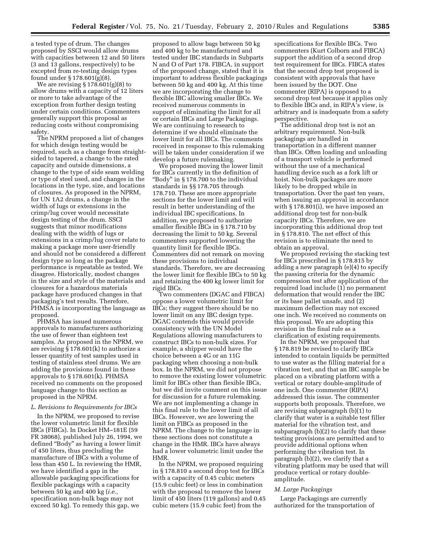a tested type of drum. The changes proposed by SSCI would allow drums with capacities between 12 and 50 liters (3 and 13 gallons, respectively) to be excepted from re-testing design types found under § 178.601(g)(8).

We are revising § 178.601(g)(8) to allow drums with a capacity of 12 liters or more to take advantage of the exception from further design testing under certain conditions. Commenters generally support this proposal as reducing costs without compromising safety.

The NPRM proposed a list of changes for which design testing would be required, such as a change from straightsided to tapered, a change to the rated capacity and outside dimensions, a change to the type of side seam welding or type of steel used, and changes in the locations in the type, size, and locations of closures. As proposed in the NPRM, for UN 1A2 drums, a change in the width of lugs or extensions in the crimp/lug cover would necessitate design testing of the drum. SSCI suggests that minor modifications dealing with the width of lugs or extensions in a crimp/lug cover relate to making a package more user-friendly and should not be considered a different design type so long as the package performance is repeatable as tested. We disagree. Historically, modest changes in the size and style of the materials and closures for a hazardous materials package have produced changes in that packaging's test results. Therefore, PHMSA is incorporating the language as proposed.

PHMSA has issued numerous approvals to manufacturers authorizing the use of fewer than eighteen test samples. As proposed in the NPRM, we are revising § 178.601(k) to authorize a lesser quantity of test samples used in testing of stainless steel drums. We are adding the provisions found in these approvals to § 178.601(k). PHMSA received no comments on the proposed language change to this section as proposed in the NPRM.

#### *L. Revisions to Requirements for IBCs*

In the NPRM, we proposed to revise the lower volumetric limit for flexible IBCs (FIBCs). In Docket HM–181E (59 FR 38068), published July 26, 1994, we defined ''Body'' as having a lower limit of 450 liters, thus precluding the manufacture of IBCs with a volume of less than 450 L. In reviewing the HMR, we have identified a gap in the allowable packaging specifications for flexible packagings with a capacity between 50 kg and 400 kg (*i.e.,*  specification non-bulk bags may not exceed 50 kg). To remedy this gap, we

proposed to allow bags between 50 kg and 400 kg to be manufactured and tested under IBC standards in Subparts N and O of Part 178. FIBCA, in support of the proposed change, stated that it is important to address flexible packagings between 50 kg and 400 kg. At this time we are incorporating the change to flexible IBC allowing smaller IBCs. We received numerous comments in support of eliminating the limit for all or certain IBCs and Large Packagings. We are continuing to research to determine if we should eliminate the lower limit for all IBCs. The comments received in response to this rulemaking will be taken under consideration if we develop a future rulemaking.

We proposed moving the lower limit for IBCs currently in the definition of ''Body'' in § 178.700 to the individual standards in §§ 178.705 through 178.710. These are more appropriate sections for the lower limit and will result in better understanding of the individual IBC specifications. In addition, we proposed to authorize smaller flexible IBCs in § 178.710 by decreasing the limit to 50 kg. Several commenters supported lowering the quantity limit for flexible IBCs. Commenters did not remark on moving these provisions to individual standards. Therefore, we are decreasing the lower limit for flexible IBCs to 50 kg and retaining the 400 kg lower limit for rigid IBCs.

Two commenters (DGAC and FIBCA) oppose a lower volumetric limit for IBCs; they suggest there should be no lower limit on any IBC design type. DGAC contends this would provide consistency with the UN Model Regulations allowing manufacturers to construct IBCs to non-bulk sizes. For example, a shipper would have the choice between a 4G or an 11G packaging when choosing a non-bulk box. In the NPRM, we did not propose to remove the existing lower volumetric limit for IBCs other than flexible IBCs, but we did invite comment on this issue for discussion for a future rulemaking. We are not implementing a change in this final rule to the lower limit of all IBCs. However, we are lowering the limit on FIBCs as proposed in the NPRM. The change to the language in these sections does not constitute a change in the HMR. IBCs have always had a lower volumetric limit under the HMR.

In the NPRM, we proposed requiring in § 178.810 a second drop test for IBCs with a capacity of 0.45 cubic meters (15.9 cubic feet) or less in combination with the proposal to remove the lower limit of 450 liters (119 gallons) and 0.45 cubic meters (15.9 cubic feet) from the

specifications for flexible IBCs. Two commenters (Kurt Colborn and FIBCA) support the addition of a second drop test requirement for IBCs. FIBCA states that the second drop test proposed is consistent with approvals that have been issued by the DOT. One commenter (RIPA) is opposed to a second drop test because it applies only to flexible IBCs and, in RIPA's view, is arbitrary and is inadequate from a safety perspective.

The additional drop test is not an arbitrary requirement. Non-bulk packagings are handled in transportation in a different manner than IBCs. Often loading and unloading of a transport vehicle is performed without the use of a mechanical handling device such as a fork lift or hoist. Non-bulk packages are more likely to be dropped while in transportation. Over the past ten years, when issuing an approval in accordance with § 178.801(i), we have imposed an additional drop test for non-bulk capacity IBCs. Therefore, we are incorporating this additional drop test in § 178.810. The net effect of this revision is to eliminate the need to obtain an approval.

We proposed revising the stacking test for IBCs prescribed in § 178.815 by adding a new paragraph (e)(4) to specify the passing criteria for the dynamic compression test after application of the required load include (1) no permanent deformation that would render the IBC or its base pallet unsafe, and (2) maximum deflection may not exceed one inch. We received no comments on this proposal. We are adopting this revision in the final rule as a clarification of existing requirements.

In the NPRM, we proposed that § 178.819 be revised to clarify IBCs intended to contain liquids be permitted to use water as the filling material for a vibration test, and that an IBC sample be placed on a vibrating platform with a vertical or rotary double-amplitude of one inch. One commenter (RIPA) addressed this issue. The commenter supports both proposals. Therefore, we are revising subparagraph (b)(1) to clarify that water is a suitable test filler material for the vibration test, and subparagraph (b)(2) to clarify that these testing provisions are permitted and to provide additional options when performing the vibration test. In paragraph (b)(2), we clarify that a vibrating platform may be used that will produce vertical or rotary doubleamplitude.

#### *M. Large Packagings*

Large Packagings are currently authorized for the transportation of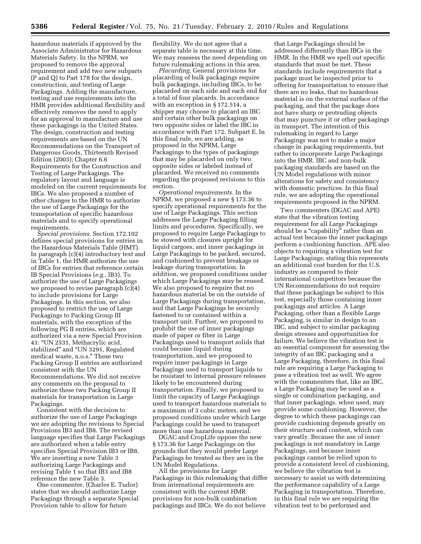hazardous materials if approved by the Associate Administrator for Hazardous Materials Safety. In the NPRM, we proposed to remove the approval requirement and add two new subparts (P and Q) to Part 178 for the design, construction, and testing of Large Packagings. Adding the manufacture, testing and use requirements into the HMR provides additional flexibility and effectively removes the need to apply for an approval to manufacture and use these packagings in the United States. The design, construction and testing requirements are based on the UN Recommendations on the Transport of Dangerous Goods, Thirteenth Revised Edition (2003); Chapter 6.6 Requirements for the Construction and Testing of Large Packagings. The regulatory layout and language is modeled on the current requirements for IBCs. We also proposed a number of other changes to the HMR to authorize the use of Large Packagings for the transportation of specific hazardous materials and to specify operational requirements.

*Special provisions.* Section 172.102 defines special provisions for entries in the Hazardous Materials Table (HMT). In paragraph (c)(4) introductory text and in Table 1, the HMR authorize the use of IBCs for entries that reference certain IB Special Provisions (*e.g.,* IB3). To authorize the use of Large Packagings we proposed to revise paragraph (c)(4) to include provisions for Large Packagings. In this section, we also proposed to restrict the use of Large Packagings to Packing Group III materials, with the exception of the following PG II entries, which are authorized via a new Special Provision 41: ''UN 2531, Methacrylic acid, stabilized'' and ''UN 3291, Regulated medical waste, n.o.s.'' These two Packing Group II entries are authorized consistent with the UN Recommendations. We did not receive any comments on the proposal to authorize these two Packing Group II materials for transportation in Large Packagings.

Consistent with the decision to authorize the use of Large Packagings we are adopting the revisions to Special Provisions IB3 and IB8. The revised language specifies that Large Packagings are authorized when a table entry specifies Special Provision IB3 or IB8. We are inserting a new Table 3 authorizing Large Packagings and revising Table 1 so that IB3 and IB8 reference the new Table 3.

One commenter, (Charles E. Tudor) states that we should authorize Large Packagings through a separate Special Provision table to allow for future

flexibility. We do not agree that a separate table is necessary at this time. We may reassess the need depending on future rulemaking actions in this area.

*Placarding.* General provisions for placarding of bulk packagings require bulk packagings, including IBCs, to be placarded on each side and each end for a total of four placards. In accordance with an exception in § 172.514, a shipper may choose to placard an IBC and certain other bulk packagings on two opposite sides or label the IBC in accordance with Part 172, Subpart E. In this final rule, we are adding, as proposed in the NPRM, Large Packagings to the types of packagings that may be placarded on only two opposite sides or labeled instead of placarded. We received no comments regarding the proposed revisions to this section.

*Operational requirements.* In the NPRM, we proposed a new § 173.36 to specify operational requirements for the use of Large Packagings. This section addresses the Large Packaging filling limits and procedures. Specifically, we proposed to require Large Packagings to be stowed with closures upright for liquid cargoes, and inner packagings in Large Packagings to be packed, secured, and cushioned to prevent breakage or leakage during transportation. In addition, we proposed conditions under which Large Packagings may be reused. We also proposed to require that no hazardous material be on the outside of Large Packagings during transportation, and that Large Packagings be securely fastened to or contained within a transport unit. Further, we proposed to prohibit the use of inner packagings made of paper or fiber in Large Packagings used to transport solids that could become liquid during transportation, and we proposed to require inner packagings in Large Packagings used to transport liquids to be resistant to internal pressure releases likely to be encountered during transportation. Finally, we proposed to limit the capacity of Large Packagings used to transport hazardous materials to a maximum of 3 cubic meters, and we proposed conditions under which Large Packagings could be used to transport more than one hazardous material.

DGAC and CropLife oppose the new § 173.36 for Large Packagings on the grounds that they would prefer Large Packagings be treated as they are in the UN Model Regulations.

All the provisions for Large Packagings in this rulemaking that differ from international requirements are consistent with the current HMR provisions for non-bulk combination packagings and IBCs. We do not believe

that Large Packagings should be addressed differently than IBCs in the HMR. In the HMR we spell out specific standards that must be met. These standards include requirements that a package must be inspected prior to offering for transportation to ensure that there are no leaks, that no hazardous material is on the external surface of the packaging, and that the package does not have sharp or protruding objects that may puncture it or other packagings in transport. The intention of this rulemaking in regard to Large Packagings was not to make a major change in packaging requirements, but rather to incorporate Large Packagings into the HMR. IBC and non-bulk packaging standards are based on the UN Model regulations with minor alterations for safety and consistency with domestic practices. In this final rule, we are adopting the operational requirements proposed in the NPRM.

Two commenters (DGAC and APE) state that the vibration testing requirement for all Large Packagings should be a "capability" rather than an actual test because the inner packagings perform a cushioning function. APE also objects to requiring a vibration test for Large Packagings, stating this represents an additional cost burden for the U.S. industry as compared to their international competitors because the UN Recommendations do not require that these packagings be subject to this test, especially those containing inner packagings and articles. A Large Packaging, other than a flexible Large Packaging, is similar in design to an IBC, and subject to similar packaging design stresses and opportunities for failure. We believe the vibration test is an essential component for assessing the integrity of an IBC packaging and a Large Packaging, therefore, in this final rule are requiring a Large Packaging to pass a vibration test as well. We agree with the commenters that, like an IBC, a Large Packaging may be used as a single or combination packaging, and that inner packagings, when used, may provide some cushioning. However, the degree to which these packagings can provide cushioning depends greatly on their structure and content, which can vary greatly. Because the use of inner packagings is not mandatory in Large Packagings, and because inner packagings cannot be relied upon to provide a consistent level of cushioning, we believe the vibration test is necessary to assist us with determining the performance capability of a Large Packaging in transportation. Therefore, in this final rule we are requiring the vibration test to be performed and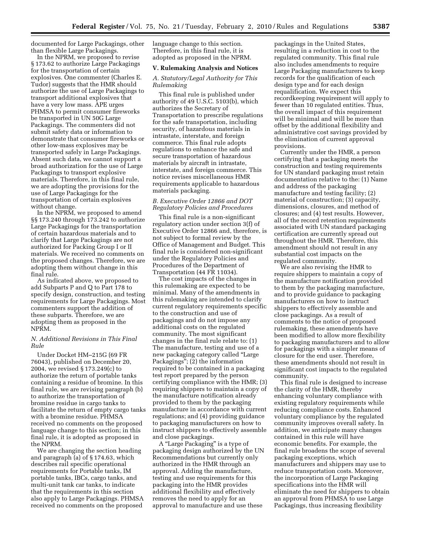documented for Large Packagings, other than flexible Large Packagings.

In the NPRM, we proposed to revise § 173.62 to authorize Large Packagings for the transportation of certain explosives. One commenter (Charles E. Tudor) suggests that the HMR should authorize the use of Large Packagings to transport additional explosives that have a very low mass. APE urges PHMSA to permit consumer fireworks be transported in UN 50G Large Packagings. The commenters did not submit safety data or information to demonstrate that consumer fireworks or other low-mass explosives may be transported safely in Large Packagings. Absent such data, we cannot support a broad authorization for the use of Large Packagings to transport explosive materials. Therefore, in this final rule, we are adopting the provisions for the use of Large Packagings for the transportation of certain explosives without change.

In the NPRM, we proposed to amend §§ 173.240 through 173.242 to authorize Large Packagings for the transportation of certain hazardous materials and to clarify that Large Packagings are not authorized for Packing Group I or II materials. We received no comments on the proposed changes. Therefore, we are adopting them without change in this final rule.

As indicated above, we proposed to add Subparts P and Q to Part 178 to specify design, construction, and testing requirements for Large Packagings. Most commenters support the addition of these subparts. Therefore, we are adopting them as proposed in the NPRM.

#### *N. Additional Revisions in This Final Rule*

Under Docket HM–215G (69 FR 76043), published on December 20, 2004, we revised § 173.249(c) to authorize the return of portable tanks containing a residue of bromine. In this final rule, we are revising paragraph (b) to authorize the transportation of bromine residue in cargo tanks to facilitate the return of empty cargo tanks with a bromine residue. PHMSA received no comments on the proposed language change to this section; in this final rule, it is adopted as proposed in the NPRM.

We are changing the section heading and paragraph (a) of § 174.63, which describes rail specific operational requirements for Portable tanks, IM portable tanks, IBCs, cargo tanks, and multi-unit tank car tanks, to indicate that the requirements in this section also apply to Large Packagings. PHMSA received no comments on the proposed

language change to this section. Therefore, in this final rule, it is adopted as proposed in the NPRM.

#### **V. Rulemaking Analysis and Notices**

*A. Statutory/Legal Authority for This Rulemaking* 

This final rule is published under authority of 49 U.S.C. 5103(b), which authorizes the Secretary of Transportation to prescribe regulations for the safe transportation, including security, of hazardous materials in intrastate, interstate, and foreign commerce. This final rule adopts regulations to enhance the safe and secure transportation of hazardous materials by aircraft in intrastate, interstate, and foreign commerce. This notice revises miscellaneous HMR requirements applicable to hazardous materials packaging.

#### *B. Executive Order 12866 and DOT Regulatory Policies and Procedures*

This final rule is a non-significant regulatory action under section 3(f) of Executive Order 12866 and, therefore, is not subject to formal review by the Office of Management and Budget. This final rule is considered non-significant under the Regulatory Policies and Procedures of the Department of Transportation (44 FR 11034).

The cost impacts of the changes in this rulemaking are expected to be minimal. Many of the amendments in this rulemaking are intended to clarify current regulatory requirements specific to the construction and use of packagings and do not impose any additional costs on the regulated community. The most significant changes in the final rule relate to: (1) The manufacture, testing and use of a new packaging category called ''Large Packagings''; (2) the information required to be contained in a packaging test report prepared by the person certifying compliance with the HMR; (3) requiring shippers to maintain a copy of the manufacture notification already provided to them by the packaging manufacture in accordance with current regulations; and (4) providing guidance to packaging manufacturers on how to instruct shippers to effectively assemble and close packagings.

A ''Large Packaging'' is a type of packaging design authorized by the UN Recommendations but currently only authorized in the HMR through an approval. Adding the manufacture, testing and use requirements for this packaging into the HMR provides additional flexibility and effectively removes the need to apply for an approval to manufacture and use these

packagings in the United States, resulting in a reduction in cost to the regulated community. This final rule also includes amendments to require Large Packaging manufacturers to keep records for the qualification of each design type and for each design requalification. We expect this recordkeeping requirement will apply to fewer than 10 regulated entities. Thus, the overall impact of this requirement will be minimal and will be more than offset by the additional flexibility and administrative cost savings provided by the elimination of current approval provisions.

Currently under the HMR, a person certifying that a packaging meets the construction and testing requirements for UN standard packaging must retain documentation relative to the: (1) Name and address of the packaging manufacture and testing facility; (2) material of construction; (3) capacity, dimensions, closures, and method of closures; and (4) test results. However, all of the record retention requirements associated with UN standard packaging certification are currently spread out throughout the HMR. Therefore, this amendment should not result in any substantial cost impacts on the regulated community.

We are also revising the HMR to require shippers to maintain a copy of the manufacture notification provided to them by the packaging manufacture, and to provide guidance to packaging manufacturers on how to instruct shippers to effectively assemble and close packagings. As a result of comments to the notice of proposed rulemaking, these amendments have been modified to allow more flexibility to packaging manufacturers and to allow for packagings with a simpler means of closure for the end user. Therefore, these amendments should not result in significant cost impacts to the regulated community.

This final rule is designed to increase the clarity of the HMR, thereby enhancing voluntary compliance with existing regulatory requirements while reducing compliance costs. Enhanced voluntary compliance by the regulated community improves overall safety. In addition, we anticipate many changes contained in this rule will have economic benefits. For example, the final rule broadens the scope of several packaging exceptions, which manufacturers and shippers may use to reduce transportation costs. Moreover, the incorporation of Large Packaging specifications into the HMR will eliminate the need for shippers to obtain an approval from PHMSA to use Large Packagings, thus increasing flexibility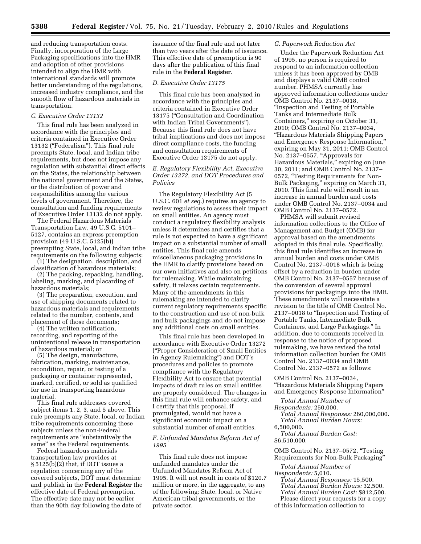and reducing transportation costs. Finally, incorporation of the Large Packaging specifications into the HMR and adoption of other provisions intended to align the HMR with international standards will promote better understanding of the regulations, increased industry compliance, and the smooth flow of hazardous materials in transportation.

#### *C. Executive Order 13132*

This final rule has been analyzed in accordance with the principles and criteria contained in Executive Order 13132 (''Federalism''). This final rule preempts State, local, and Indian tribe requirements, but does not impose any regulation with substantial direct effects on the States, the relationship between the national government and the States, or the distribution of power and responsibilities among the various levels of government. Therefore, the consultation and funding requirements of Executive Order 13132 do not apply.

The Federal Hazardous Materials Transportation Law, 49 U.S.C. 5101– 5127, contains an express preemption provision (49 U.S.C. 5125(b)) preempting State, local, and Indian tribe requirements on the following subjects:

(1) The designation, description, and classification of hazardous materials;

(2) The packing, repacking, handling, labeling, marking, and placarding of hazardous materials;

(3) The preparation, execution, and use of shipping documents related to hazardous materials and requirements related to the number, contents, and placement of those documents;

(4) The written notification, recording, and reporting of the unintentional release in transportation of hazardous material; or

(5) The design, manufacture, fabrication, marking, maintenance, recondition, repair, or testing of a packaging or container represented, marked, certified, or sold as qualified for use in transporting hazardous material.

This final rule addresses covered subject items 1, 2, 3, and 5 above. This rule preempts any State, local, or Indian tribe requirements concerning these subjects unless the non-Federal requirements are ''substantively the same'' as the Federal requirements.

Federal hazardous materials transportation law provides at § 5125(b)(2) that, if DOT issues a regulation concerning any of the covered subjects, DOT must determine and publish in the **Federal Register** the effective date of Federal preemption. The effective date may not be earlier than the 90th day following the date of

issuance of the final rule and not later than two years after the date of issuance. This effective date of preemption is 90 days after the publication of this final rule in the **Federal Register**.

#### *D. Executive Order 13175*

This final rule has been analyzed in accordance with the principles and criteria contained in Executive Order 13175 (''Consultation and Coordination with Indian Tribal Governments''). Because this final rule does not have tribal implications and does not impose direct compliance costs, the funding and consultation requirements of Executive Order 13175 do not apply.

#### *E. Regulatory Flexibility Act, Executive Order 13272, and DOT Procedures and Policies*

The Regulatory Flexibility Act (5 U.S.C. 601 *et seq.*) requires an agency to review regulations to assess their impact on small entities. An agency must conduct a regulatory flexibility analysis unless it determines and certifies that a rule is not expected to have a significant impact on a substantial number of small entities. This final rule amends miscellaneous packaging provisions in the HMR to clarify provisions based on our own initiatives and also on petitions for rulemaking. While maintaining safety, it relaxes certain requirements. Many of the amendments in this rulemaking are intended to clarify current regulatory requirements specific to the construction and use of non-bulk and bulk packagings and do not impose any additional costs on small entities.

This final rule has been developed in accordance with Executive Order 13272 (''Proper Consideration of Small Entities in Agency Rulemaking'') and DOT's procedures and policies to promote compliance with the Regulatory Flexibility Act to ensure that potential impacts of draft rules on small entities are properly considered. The changes in this final rule will enhance safety, and I certify that this proposal, if promulgated, would not have a significant economic impact on a substantial number of small entities.

#### *F. Unfunded Mandates Reform Act of 1995*

This final rule does not impose unfunded mandates under the Unfunded Mandates Reform Act of 1995. It will not result in costs of \$120.7 million or more, in the aggregate, to any of the following: State, local, or Native American tribal governments, or the private sector.

#### *G. Paperwork Reduction Act*

Under the Paperwork Reduction Act of 1995, no person is required to respond to an information collection unless it has been approved by OMB and displays a valid OMB control number. PHMSA currently has approved information collections under OMB Control No. 2137–0018, ''Inspection and Testing of Portable Tanks and Intermediate Bulk Containers,'' expiring on October 31, 2010; OMB Control No. 2137–0034, ''Hazardous Materials Shipping Papers and Emergency Response Information,'' expiring on May 31, 2011; OMB Control No. 2137–0557, ''Approvals for Hazardous Materials,'' expiring on June 30, 2011; and OMB Control No. 2137– 0572, ''Testing Requirements for Non-Bulk Packaging,'' expiring on March 31, 2010. This final rule will result in an increase in annual burden and costs under OMB Control No. 2137–0034 and OMB Control No. 2137–0572.

PHMSA will submit revised information collections to the Office of Management and Budget (OMB) for approval based on the amendments adopted in this final rule. Specifically, this final rule identifies an increase in annual burden and costs under OMB Control No. 2137–0018 which is being offset by a reduction in burden under OMB Control No. 2137–0557 because of the conversion of several approval provisions for packagings into the HMR. These amendments will necessitate a revision to the title of OMB Control No. 2137–0018 to ''Inspection and Testing of Portable Tanks, Intermediate Bulk Containers, and Large Packagings.'' In addition, due to comments received in response to the notice of proposed rulemaking, we have revised the total information collection burden for OMB Control No. 2137–0034 and OMB Control No. 2137–0572 as follows:

OMB Control No. 2137–0034, ''Hazardous Materials Shipping Papers and Emergency Response Information''

*Total Annual Number of Respondents:* 250,000.

*Total Annual Responses:* 260,000,000. *Total Annual Burden Hours:* 

6,500,000.

*Total Annual Burden Cost:*  \$6,510,000.

OMB Control No. 2137–0572, ''Testing Requirements for Non-Bulk Packaging''

*Total Annual Number of Respondents:* 5,010.

- *Total Annual Responses:* 15,500.
- *Total Annual Burden Hours:* 32,500.
- *Total Annual Burden Cost:* \$812,500.
- Please direct your requests for a copy
- of this information collection to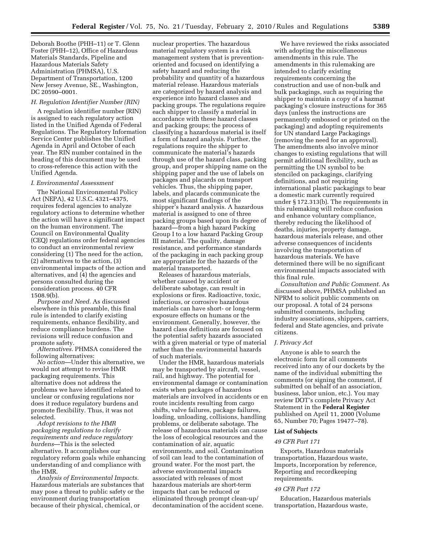Deborah Boothe (PHH–11) or T. Glenn Foster (PHH–12), Office of Hazardous Materials Standards, Pipeline and Hazardous Materials Safety Administration (PHMSA), U.S. Department of Transportation, 1200 New Jersey Avenue, SE., Washington, DC 20590–0001.

#### *H. Regulation Identifier Number (RIN)*

A regulation identifier number (RIN) is assigned to each regulatory action listed in the Unified Agenda of Federal Regulations. The Regulatory Information Service Center publishes the Unified Agenda in April and October of each year. The RIN number contained in the heading of this document may be used to cross-reference this action with the Unified Agenda.

#### *I. Environmental Assessment*

The National Environmental Policy Act (NEPA), 42 U.S.C. 4321–4375, requires federal agencies to analyze regulatory actions to determine whether the action will have a significant impact on the human environment. The Council on Environmental Quality (CEQ) regulations order federal agencies to conduct an environmental review considering (1) The need for the action, (2) alternatives to the action, (3) environmental impacts of the action and alternatives, and (4) the agencies and persons consulted during the consideration process. 40 CFR 1508.9(b).

*Purpose and Need.* As discussed elsewhere in this preamble, this final rule is intended to clarify existing requirements, enhance flexibility, and reduce compliance burdens. The revisions will reduce confusion and promote safety.

*Alternatives.* PHMSA considered the following alternatives:

*No action*—Under this alternative, we would not attempt to revise HMR packaging requirements. This alternative does not address the problems we have identified related to unclear or confusing regulations nor does it reduce regulatory burdens and promote flexibility. Thus, it was not selected.

*Adopt revisions to the HMR packaging regulations to clarify requirements and reduce regulatory burdens*—This is the selected alternative. It accomplishes our regulatory reform goals while enhancing understanding of and compliance with the HMR.

*Analysis of Environmental Impacts.*  Hazardous materials are substances that may pose a threat to public safety or the environment during transportation because of their physical, chemical, or

nuclear properties. The hazardous material regulatory system is a risk management system that is preventionoriented and focused on identifying a safety hazard and reducing the probability and quantity of a hazardous material release. Hazardous materials are categorized by hazard analysis and experience into hazard classes and packing groups. The regulations require each shipper to classify a material in accordance with these hazard classes and packing groups; the process of classifying a hazardous material is itself a form of hazard analysis. Further, the regulations require the shipper to communicate the material's hazards through use of the hazard class, packing group, and proper shipping name on the shipping paper and the use of labels on packages and placards on transport vehicles. Thus, the shipping paper, labels, and placards communicate the most significant findings of the shipper's hazard analysis. A hazardous material is assigned to one of three packing groups based upon its degree of hazard—from a high hazard Packing Group I to a low hazard Packing Group III material. The quality, damage resistance, and performance standards of the packaging in each packing group are appropriate for the hazards of the material transported.

Releases of hazardous materials, whether caused by accident or deliberate sabotage, can result in explosions or fires. Radioactive, toxic, infectious, or corrosive hazardous materials can have short- or long-term exposure effects on humans or the environment. Generally, however, the hazard class definitions are focused on the potential safety hazards associated with a given material or type of material rather than the environmental hazards of such materials.

Under the HMR, hazardous materials may be transported by aircraft, vessel, rail, and highway. The potential for environmental damage or contamination exists when packages of hazardous materials are involved in accidents or en route incidents resulting from cargo shifts, valve failures, package failures, loading, unloading, collisions, handling problems, or deliberate sabotage. The release of hazardous materials can cause the loss of ecological resources and the contamination of air, aquatic environments, and soil. Contamination of soil can lead to the contamination of ground water. For the most part, the adverse environmental impacts associated with releases of most hazardous materials are short-term impacts that can be reduced or eliminated through prompt clean-up/ decontamination of the accident scene.

We have reviewed the risks associated with adopting the miscellaneous amendments in this rule. The amendments in this rulemaking are intended to clarify existing requirements concerning the construction and use of non-bulk and bulk packagings, such as requiring the shipper to maintain a copy of a hazmat packaging's closure instructions for 365 days (unless the instructions are permanently embossed or printed on the packaging) and adopting requirements for UN standard Large Packagings (removing the need for an approval). The amendments also involve minor changes to existing regulations that will permit additional flexibility, such as permitting the UN symbol to be stenciled on packagings, clarifying definitions, and not requiring international plastic packagings to bear a domestic mark currently required under § 172.313(b). The requirements in this rulemaking will reduce confusion and enhance voluntary compliance, thereby reducing the likelihood of deaths, injuries, property damage, hazardous materials release, and other adverse consequences of incidents involving the transportation of hazardous materials. We have determined there will be no significant environmental impacts associated with this final rule.

*Consultation and Public Comment.* As discussed above, PHMSA published an NPRM to solicit public comments on our proposal. A total of 24 persons submitted comments, including industry associations, shippers, carriers, federal and State agencies, and private citizens.

#### *J. Privacy Act*

Anyone is able to search the electronic form for all comments received into any of our dockets by the name of the individual submitting the comments (or signing the comment, if submitted on behalf of an association, business, labor union, etc.). You may review DOT's complete Privacy Act Statement in the **Federal Register**  published on April 11, 2000 (Volume 65, Number 70; Pages 19477–78).

#### **List of Subjects**

#### *49 CFR Part 171*

Exports, Hazardous materials transportation, Hazardous waste, Imports, Incorporation by reference, Reporting and recordkeeping requirements.

#### *49 CFR Part 172*

Education, Hazardous materials transportation, Hazardous waste,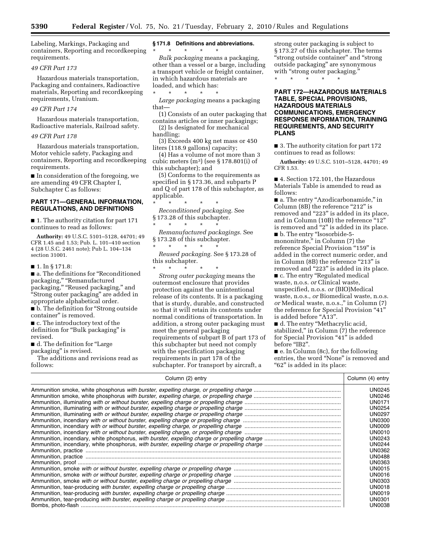Labeling, Markings, Packaging and containers, Reporting and recordkeeping requirements.

#### *49 CFR Part 173*

Hazardous materials transportation, Packaging and containers, Radioactive materials, Reporting and recordkeeping requirements, Uranium.

#### *49 CFR Part 174*

Hazardous materials transportation, Radioactive materials, Railroad safety.

#### *49 CFR Part 178*

Hazardous materials transportation, Motor vehicle safety, Packaging and containers, Reporting and recordkeeping requirements.

■ In consideration of the foregoing, we are amending 49 CFR Chapter I, Subchapter C as follows:

#### **PART 171—GENERAL INFORMATION, REGULATIONS, AND DEFINITIONS**

■ 1. The authority citation for part 171 continues to read as follows:

**Authority:** 49 U.S.C. 5101–5128, 44701; 49 CFR 1.45 and 1.53; Pub. L. 101–410 section 4 (28 U.S.C. 2461 note); Pub L. 104–134 section 31001.

■ 1. In § 171.8:

■ a. The definitions for "Reconditioned packaging,'' ''Remanufactured packaging,'' ''Reused packaging,'' and ''Strong outer packaging'' are added in appropriate alphabetical order.

■ b. The definition for "Strong outside" container'' is removed.

■ c. The introductory text of the definition for "Bulk packaging" is revised.

■ d. The definition for "Large packaging'' is revised.

The additions and revisions read as follows:

#### **§ 171.8 Definitions and abbreviations.**

\* \* \* \* \* *Bulk packaging* means a packaging, other than a vessel or a barge, including a transport vehicle or freight container, in which hazardous materials are loaded, and which has:

\* \* \* \* \* *Large packaging* means a packaging that—

(1) Consists of an outer packaging that contains articles or inner packagings;

(2) Is designated for mechanical handling;

(3) Exceeds 400 kg net mass or 450 liters (118.9 gallons) capacity;

(4) Has a volume of not more than 3 cubic meters  $(m^3)$  (see § 178.801(i) of this subchapter); and

(5) Conforms to the requirements as specified in § 173.36, and subparts P and Q of part 178 of this subchapter, as applicable.

\* \* \* \* \* *Reconditioned packaging.* See

§ 173.28 of this subchapter. \* \* \* \* \*

*Remanufactured packagings.* See § 173.28 of this subchapter.

\* \* \* \* \* *Reused packaging.* See § 173.28 of this subchapter.

\* \* \* \* \* *Strong outer packaging* means the outermost enclosure that provides protection against the unintentional release of its contents. It is a packaging that is sturdy, durable, and constructed so that it will retain its contents under normal conditions of transportation. In addition, a strong outer packaging must meet the general packaging requirements of subpart B of part 173 of this subchapter but need not comply with the specification packaging requirements in part 178 of the subchapter. For transport by aircraft, a

strong outer packaging is subject to § 173.27 of this subchapter. The terms ''strong outside container'' and ''strong outside packaging'' are synonymous with "strong outer packaging." \* \* \* \* \*

**PART 172—HAZARDOUS MATERIALS TABLE, SPECIAL PROVISIONS, HAZARDOUS MATERIALS COMMUNICATIONS, EMERGENCY RESPONSE INFORMATION, TRAINING REQUIREMENTS, AND SECURITY PLANS** 

■ 3. The authority citation for part 172 continues to read as follows:

**Authority:** 49 U.S.C. 5101–5128, 44701; 49 CFR 1.53.

■ 4. Section 172.101, the Hazardous Materials Table is amended to read as follows:

■ a. The entry "Azodicarbonamide," in Column (8B) the reference "212" is removed and ''223'' is added in its place, and in Column (10B) the reference "12" is removed and "2" is added in its place.

■ b. The entry "Isosorbide-5mononitrate," in Column (7) the reference Special Provision "159" is added in the correct numeric order, and in Column (8B) the reference "213" is removed and "223" is added in its place.

■ c. The entry "Regulated medical waste, n.o.s. *or* Clinical waste, unspecified, n.o.s. *or* (BIO)Medical waste, n.o.s., *or* Biomedical waste, n.o.s. *or* Medical waste, n.o.s.,'' in Column (7) the reference for Special Provision "41" is added before "A13".

■ d. The entry "Methacrylic acid, stabilized,'' in Column (7) the reference for Special Provision "41" is added before "IB2".

■ e. In Column (8c), for the following entries, the word "None" is removed and "62" is added in its place:

| Column (2) entry | Column (4) entry |
|------------------|------------------|
|                  | UN0245           |
|                  | UN0246           |
|                  | <b>UN0171</b>    |
|                  | <b>UN0254</b>    |
|                  | <b>UN0297</b>    |
|                  | <b>UN0300</b>    |
|                  | <b>UN0009</b>    |
|                  | <b>UN0010</b>    |
|                  | UN0243           |
|                  | <b>UN0244</b>    |
|                  | UN0362           |
|                  | <b>UN0488</b>    |
|                  | <b>UN0363</b>    |
|                  | <b>UN0015</b>    |
|                  | <b>UN0016</b>    |
|                  | UN0303           |
|                  | <b>UN0018</b>    |
|                  | <b>UN0019</b>    |
|                  | <b>UN0301</b>    |
|                  | <b>UN0038</b>    |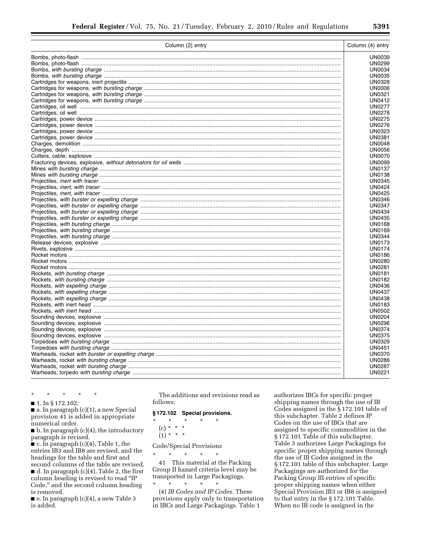| Column (2) entry | Column (4) entry |
|------------------|------------------|
|                  | <b>UN0039</b>    |
|                  | UN0299           |
|                  | <b>UN0034</b>    |
|                  | <b>UN0035</b>    |
|                  | <b>UN0328</b>    |
|                  | <b>UN0006</b>    |
|                  | UN0321           |
|                  | UN0412           |
|                  | <b>UN0277</b>    |
|                  | <b>UN0278</b>    |
|                  | <b>UN0275</b>    |
|                  | <b>UN0276</b>    |
|                  | UN0323           |
|                  | <b>UN0381</b>    |
|                  | <b>UN0048</b>    |
|                  | <b>UN0056</b>    |
|                  | <b>UN0070</b>    |
|                  | <b>UN0099</b>    |
|                  | <b>UN0137</b>    |
|                  | <b>UN0138</b>    |
|                  | <b>UN0345</b>    |
|                  |                  |
|                  | <b>UN0424</b>    |
|                  | UN0425           |
|                  | UN0346           |
|                  | <b>UN0347</b>    |
|                  | <b>UN0434</b>    |
|                  | UN0435           |
|                  | <b>UN0168</b>    |
|                  | <b>UN0169</b>    |
|                  | <b>UN0344</b>    |
|                  | <b>UN0173</b>    |
|                  | <b>UN0174</b>    |
|                  | <b>UN0186</b>    |
|                  | <b>UN0280</b>    |
|                  | <b>UN0281</b>    |
|                  | <b>UN0181</b>    |
|                  | <b>UN0182</b>    |
|                  | <b>UN0436</b>    |
|                  | <b>UN0437</b>    |
|                  | <b>UN0438</b>    |
|                  | <b>UN0183</b>    |
|                  | <b>UN0502</b>    |
|                  | <b>UN0204</b>    |
|                  | <b>UN0296</b>    |
|                  | <b>UN0374</b>    |
|                  | <b>UN0375</b>    |
|                  | UN0329           |
|                  | <b>UN0451</b>    |
|                  | <b>UN0370</b>    |
|                  | <b>UN0286</b>    |
|                  | <b>UN0287</b>    |
|                  | UN0221           |
|                  |                  |

 $\star$  $\star$  $\star$  $\blacksquare$  1. In § 172.102:

 $\blacksquare$  a. In paragraph (c)(1), a new Special provision 41 is added in appropriate numerical order.

 $\blacksquare$  b. In paragraph (c)(4), the introductory paragraph is revised.

 $\blacksquare$  c. In paragraph (c)(4), Table 1, the entries IB3 and IB8 are revised, and the headings for the table and first and

second columns of the table are revised.  $\blacksquare$  d. In paragraph (c)(4), Table 2, the first column heading is revised to read "IP Code," and the second column heading is removed.

 $\blacksquare$  e. In paragraph (c)(4), a new Table 3 is added.

The additions and revisions read as follows:

#### §172.102 Special provisions.

 $\star$  $\pmb{\star}$  $\star$  $\qquad \, \star$  $\pmb{\ast}$ (c) \* \* \*  $(1) * * * *$ 

Code/Special Provisions  $\star$   $\star$  $\star$  $\star$  $\star$ 

41 This material at the Packing Group II hazard criteria level may be transported in Large Packagings.  $\star$   $\qquad$   $\star$  $\quad$   $\quad$   $\star$  $\star$  $\star$ 

(4) IB Codes and IP Codes. These provisions apply only to transportation in IBCs and Large Packagings. Table 1

authorizes IBCs for specific proper shipping names through the use of IB Codes assigned in the  $\S 172.101$  table of this subchapter. Table 2 defines IP Codes on the use of IBCs that are assigned to specific commodities in the §172.101 Table of this subchapter. Table 3 authorizes Large Packagings for specific proper shipping names through the use of IB Codes assigned in the § 172.101 table of this subchapter. Large Packagings are authorized for the Packing Group III entries of specific proper shipping names when either Special Provision IB3 or IB8 is assigned to that entry in the §172.101 Table. When no IB code is assigned in the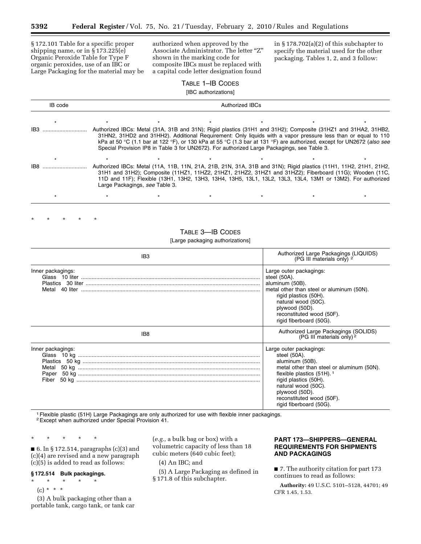§ 172.101 Table for a specific proper shipping name, or in  $\S 173.225(e)$ Organic Peroxide Table for Type F organic peroxides, use of an IBC or Large Packaging for the material may be

\* \* \* \* \*

authorized when approved by the Associate Administrator. The letter "Z" shown in the marking code for composite IBCs must be replaced with a capital code letter designation found

in § 178.702(a)(2) of this subchapter to specify the material used for the other packaging. Tables 1, 2, and 3 follow:

#### TABLE 1–IB CODES

[IBC authorizations]

| <b>IB</b> code  | <b>Authorized IBCs</b> |                                |  |                                                                                                                                                                                                                                                                                                                                                                                                                                                        |  |  |
|-----------------|------------------------|--------------------------------|--|--------------------------------------------------------------------------------------------------------------------------------------------------------------------------------------------------------------------------------------------------------------------------------------------------------------------------------------------------------------------------------------------------------------------------------------------------------|--|--|
|                 |                        |                                |  |                                                                                                                                                                                                                                                                                                                                                                                                                                                        |  |  |
| IB <sub>3</sub> |                        |                                |  | Authorized IBCs: Metal (31A, 31B and 31N); Rigid plastics (31H1 and 31H2); Composite (31HZ1 and 31HA2, 31HB2,<br>31HN2, 31HD2 and 31HH2). Additional Requirement: Only liquids with a vapor pressure less than or equal to 110<br>kPa at 50 °C (1.1 bar at 122 °F), or 130 kPa at 55 °C (1.3 bar at 131 °F) are authorized, except for UN2672 (also see<br>Special Provision IP8 in Table 3 for UN2672). For authorized Large Packagings, see Table 3. |  |  |
| IB8             |                        | Large Packagings, see Table 3. |  | Authorized IBCs: Metal (11A, 11B, 11N, 21A, 21B, 21N, 31A, 31B and 31N); Rigid plastics (11H1, 11H2, 21H1, 21H2,<br>31H1 and 31H2); Composite (11HZ1, 11HZ2, 21HZ1, 21HZ2, 31HZ1 and 31HZ2); Fiberboard (11G); Wooden (11C,<br>11D and 11F); Flexible (13H1, 13H2, 13H3, 13H4, 13H5, 13L1, 13L2, 13L3, 13L4, 13M1 or 13M2). For authorized                                                                                                             |  |  |
|                 |                        |                                |  |                                                                                                                                                                                                                                                                                                                                                                                                                                                        |  |  |

TABLE 3—IB CODES

[Large packaging authorizations]

| IB <sub>3</sub>                              | Authorized Large Packagings (LIQUIDS)<br>(PG III materials only) <sup>2</sup>                                                                                                                                                                                    |  |  |
|----------------------------------------------|------------------------------------------------------------------------------------------------------------------------------------------------------------------------------------------------------------------------------------------------------------------|--|--|
| Inner packagings:                            | Large outer packagings:<br>steel (50A).<br>aluminum (50B).<br>metal other than steel or aluminum (50N).<br>rigid plastics (50H).<br>natural wood (50C).<br>plywood (50D).<br>reconstituted wood (50F).<br>rigid fiberboard (50G).                                |  |  |
| IB8                                          | Authorized Large Packagings (SOLIDS)<br>(PG III materials only) <sup>2</sup>                                                                                                                                                                                     |  |  |
| Inner packagings:<br>Metal<br>Paper<br>Fiber | Large outer packagings:<br>steel (50A).<br>aluminum (50B).<br>metal other than steel or aluminum (50N).<br>flexible plastics $(51H)$ .<br>rigid plastics (50H).<br>natural wood (50C).<br>plywood (50D).<br>reconstituted wood (50F).<br>rigid fiberboard (50G). |  |  |

1Flexible plastic (51H) Large Packagings are only authorized for use with flexible inner packagings.

2Except when authorized under Special Provision 41.

■ 6. In § 172.514, paragraphs (c)(3) and (c)(4) are revised and a new paragraph (c)(5) is added to read as follows:

#### **§ 172.514 Bulk packagings.**

\* \* \* \* \*

\* \* \* \* \*

(c) \* \* \*

(3) A bulk packaging other than a portable tank, cargo tank, or tank car

(*e.g.,* a bulk bag or box) with a volumetric capacity of less than 18 cubic meters (640 cubic feet);

(4) An IBC; and

(5) A Large Packaging as defined in § 171.8 of this subchapter.

#### **PART 173—SHIPPERS—GENERAL REQUIREMENTS FOR SHIPMENTS AND PACKAGINGS**

■ 7. The authority citation for part 173 continues to read as follows:

**Authority:** 49 U.S.C. 5101–5128, 44701; 49 CFR 1.45, 1.53.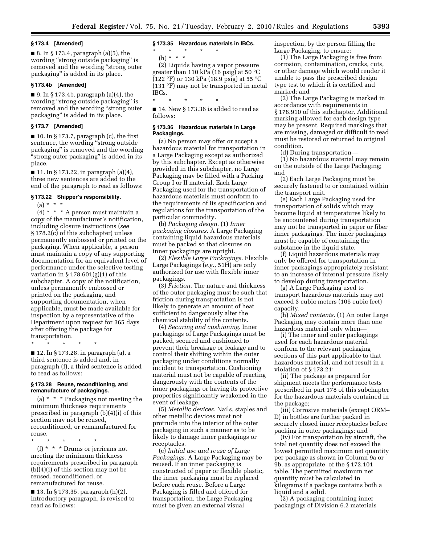#### **§ 173.4 [Amended]**

■ 8. In § 173.4, paragraph (a)(5), the wording "strong outside packaging" is removed and the wording ''strong outer packaging'' is added in its place.

#### **§ 173.4b [Amended]**

■ 9. In § 173.4b, paragraph (a)(4), the wording "strong outside packaging" is removed and the wording ''strong outer packaging'' is added in its place.

#### **§ 173.7 [Amended]**

 $\blacksquare$  10. In § 173.7, paragraph (c), the first sentence, the wording "strong outside packaging'' is removed and the wording ''strong outer packaging'' is added in its place.

 $\blacksquare$  11. In § 173.22, in paragraph (a)(4), three new sentences are added to the end of the paragraph to read as follows:

#### **§ 173.22 Shipper's responsibility.**

(a) \* \* \*

 $(4)$  \* \* \* A person must maintain a copy of the manufacturer's notification, including closure instructions (*see*  § 178.2(c) of this subchapter) unless permanently embossed or printed on the packaging. When applicable, a person must maintain a copy of any supporting documentation for an equivalent level of performance under the selective testing variation in  $\S 178.601(g)(1)$  of this subchapter. A copy of the notification, unless permanently embossed or printed on the packaging, and supporting documentation, when applicable, must be made available for inspection by a representative of the Department upon request for 365 days after offering the package for transportation.

\* \* \* \* \*

■ 12. In § 173.28, in paragraph (a), a third sentence is added and, in paragraph (f), a third sentence is added to read as follows:

#### **§ 173.28 Reuse, reconditioning, and remanufacture of packagings.**

(a) \* \* \* Packagings not meeting the minimum thickness requirements prescribed in paragraph (b)(4)(i) of this section may not be reused, reconditioned, or remanufactured for reuse.

\* \* \* \* \* (f) \* \* \* Drums or jerricans not meeting the minimum thickness requirements prescribed in paragraph (b)(4)(i) of this section may not be reused, reconditioned, or

remanufactured for reuse.

■ 13. In § 173.35, paragraph (h)(2), introductory paragraph, is revised to read as follows:

#### **§ 173.35 Hazardous materials in IBCs.**

\* \* \* \* \* (h) \* \* \*

(2) Liquids having a vapor pressure greater than 110 kPa (16 psig) at 50 °C (122 °F) or 130 kPa (18.9 psig) at 55 °C (131 °F) may not be transported in metal IBCs.

\* \* \* \* \*

■ 14. New § 173.36 is added to read as follows:

#### **§ 173.36 Hazardous materials in Large Packagings.**

(a) No person may offer or accept a hazardous material for transportation in a Large Packaging except as authorized by this subchapter. Except as otherwise provided in this subchapter, no Large Packaging may be filled with a Packing Group I or II material. Each Large Packaging used for the transportation of hazardous materials must conform to the requirements of its specification and regulations for the transportation of the particular commodity.

(b) *Packaging design.* (1) *Inner packaging closures.* A Large Packaging containing liquid hazardous materials must be packed so that closures on inner packagings are upright.

(2) *Flexible Large Packagings.* Flexible Large Packagings (*e.g.,* 51H) are only authorized for use with flexible inner packagings.

(3) *Friction.* The nature and thickness of the outer packaging must be such that friction during transportation is not likely to generate an amount of heat sufficient to dangerously alter the chemical stability of the contents.

(4) *Securing and cushioning.* Inner packagings of Large Packagings must be packed, secured and cushioned to prevent their breakage or leakage and to control their shifting within the outer packaging under conditions normally incident to transportation. Cushioning material must not be capable of reacting dangerously with the contents of the inner packagings or having its protective properties significantly weakened in the event of leakage.

(5) *Metallic devices.* Nails, staples and other metallic devices must not protrude into the interior of the outer packaging in such a manner as to be likely to damage inner packagings or receptacles.

(c) *Initial use and reuse of Large Packagings.* A Large Packaging may be reused. If an inner packaging is constructed of paper or flexible plastic, the inner packaging must be replaced before each reuse. Before a Large Packaging is filled and offered for transportation, the Large Packaging must be given an external visual

inspection, by the person filling the Large Packaging, to ensure:

(1) The Large Packaging is free from corrosion, contamination, cracks, cuts, or other damage which would render it unable to pass the prescribed design type test to which it is certified and marked; and

(2) The Large Packaging is marked in accordance with requirements in § 178.910 of this subchapter. Additional marking allowed for each design type may be present. Required markings that are missing, damaged or difficult to read must be restored or returned to original condition.

(d) During transportation—

(1) No hazardous material may remain on the outside of the Large Packaging; and

(2) Each Large Packaging must be securely fastened to or contained within the transport unit.

(e) Each Large Packaging used for transportation of solids which may become liquid at temperatures likely to be encountered during transportation may not be transported in paper or fiber inner packagings. The inner packagings must be capable of containing the substance in the liquid state.

(f) Liquid hazardous materials may only be offered for transportation in inner packagings appropriately resistant to an increase of internal pressure likely to develop during transportation.

(g) A Large Packaging used to transport hazardous materials may not exceed 3 cubic meters (106 cubic feet) capacity.

(h) *Mixed contents.* (1) An outer Large Packaging may contain more than one hazardous material only when—

(i) The inner and outer packagings used for each hazardous material conform to the relevant packaging sections of this part applicable to that hazardous material, and not result in a violation of § 173.21;

(ii) The package as prepared for shipment meets the performance tests prescribed in part 178 of this subchapter for the hazardous materials contained in the package;

(iii) Corrosive materials (except ORM– D) in bottles are further packed in securely closed inner receptacles before packing in outer packagings; and

(iv) For transportation by aircraft, the total net quantity does not exceed the lowest permitted maximum net quantity per package as shown in Column 9a or 9b, as appropriate, of the § 172.101 table. The permitted maximum net quantity must be calculated in kilograms if a package contains both a liquid and a solid.

(2) A packaging containing inner packagings of Division 6.2 materials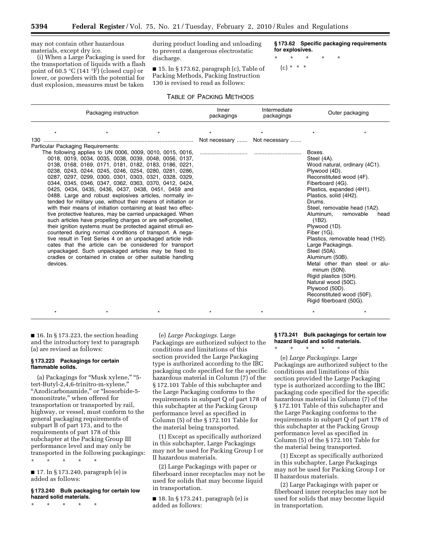may not contain other hazardous materials, except dry ice.

(i) When a Large Packaging is used for the transportation of liquids with a flash point of  $60.5$  °C (141 °F) (closed cup) or lower, or powders with the potential for dust explosion, measures must be taken

during product loading and unloading to prevent a dangerous electrostatic discharge.

 $\blacksquare$  15. In § 173.62, paragraph (c), Table of Packing Methods, Packing Instruction 130 is revised to read as follows:

#### TABLE OF PACKING METHODS

**§ 173.62 Specific packaging requirements for explosives.** 

\* \* \* \* \*  $(c) * * * *$ 

| Packaging instruction                                                                                                                                                                                                                                                                                                                                                                                                                                                                                                                                                                                                                                                                                                                                                                                                                                                                                                                                                                                                                                                                                                                                               |         | Inner<br>packagings | Intermediate<br>packagings | Outer packaging                                                                                                                                                                                                                                                                                                                                                                                                  |                                                                                                                                                         |
|---------------------------------------------------------------------------------------------------------------------------------------------------------------------------------------------------------------------------------------------------------------------------------------------------------------------------------------------------------------------------------------------------------------------------------------------------------------------------------------------------------------------------------------------------------------------------------------------------------------------------------------------------------------------------------------------------------------------------------------------------------------------------------------------------------------------------------------------------------------------------------------------------------------------------------------------------------------------------------------------------------------------------------------------------------------------------------------------------------------------------------------------------------------------|---------|---------------------|----------------------------|------------------------------------------------------------------------------------------------------------------------------------------------------------------------------------------------------------------------------------------------------------------------------------------------------------------------------------------------------------------------------------------------------------------|---------------------------------------------------------------------------------------------------------------------------------------------------------|
|                                                                                                                                                                                                                                                                                                                                                                                                                                                                                                                                                                                                                                                                                                                                                                                                                                                                                                                                                                                                                                                                                                                                                                     | $\star$ |                     |                            |                                                                                                                                                                                                                                                                                                                                                                                                                  | $\star$                                                                                                                                                 |
| Particular Packaging Requirements:<br>The following applies to UN 0006, 0009, 0010, 0015, 0016,<br>0018, 0019, 0034, 0035, 0038, 0039, 0048, 0056, 0137,<br>0138, 0168, 0169, 0171, 0181, 0182, 0183, 0186, 0221,<br>0238, 0243, 0244, 0245, 0246, 0254, 0280, 0281, 0286,<br>0287, 0297, 0299, 0300, 0301, 0303, 0321, 0328, 0329,<br>0344, 0345, 0346, 0347, 0362, 0363, 0370, 0412, 0424,<br>0425, 0434, 0435, 0436, 0437, 0438, 0451, 0459 and<br>0488. Large and robust explosives articles, normally in-<br>tended for military use, without their means of initiation or<br>with their means of initiation containing at least two effec-<br>tive protective features, may be carried unpackaged. When<br>such articles have propelling charges or are self-propelled,<br>their ignition systems must be protected against stimuli en-<br>countered during normal conditions of transport. A nega-<br>tive result in Test Series 4 on an unpackaged article indi-<br>cates that the article can be considered for transport<br>unpackaged. Such unpackaged articles may be fixed to<br>cradles or contained in crates or other suitable handling<br>devices. |         | Not necessary       | Not necessary              | Boxes.<br>Steel (4A).<br>Plywood (4D).<br>Reconstituted wood (4F).<br>Fiberboard (4G).<br>Plastics, expanded (4H1).<br>Plastics, solid (4H2).<br>Drums.<br>Aluminum.<br>(1B2).<br>Plywood (1D).<br>Fiber (1G).<br>Large Packagings.<br>Steel (50A).<br>Aluminum (50B).<br>minum (50N).<br>Rigid plastics (50H).<br>Natural wood (50C).<br>Plywood (50D).<br>Reconstituted wood (50F).<br>Rigid fiberboard (50G). | Wood natural, ordinary (4C1).<br>Steel, removable head (1A2).<br>removable<br>head<br>Plastics, removable head (1H2).<br>Metal other than steel or alu- |
|                                                                                                                                                                                                                                                                                                                                                                                                                                                                                                                                                                                                                                                                                                                                                                                                                                                                                                                                                                                                                                                                                                                                                                     | $\star$ |                     |                            | $\star$                                                                                                                                                                                                                                                                                                                                                                                                          | $\star$                                                                                                                                                 |

 $\blacksquare$  16. In § 173.223, the section heading and the introductory text to paragraph (a) are revised as follows:

#### **§ 173.223 Packagings for certain flammable solids.**

(a) Packagings for "Musk xylene," "5tert-Butyl-2,4,6-trinitro-m-xylene,'' ''Azodicarbonamide,'' or ''Isosorbide-5 mononitrate,'' when offered for transportation or transported by rail, highway, or vessel, must conform to the general packaging requirements of subpart B of part 173, and to the requirements of part 178 of this subchapter at the Packing Group III performance level and may only be transported in the following packagings: \* \* \* \* \*

■ 17. In § 173.240, paragraph (e) is added as follows:

#### **§ 173.240 Bulk packaging for certain low hazard solid materials.**

\* \* \* \* \*

(e) *Large Packagings.* Large Packagings are authorized subject to the conditions and limitations of this section provided the Large Packaging type is authorized according to the IBC packaging code specified for the specific hazardous material in Column (7) of the § 172.101 Table of this subchapter and the Large Packaging conforms to the requirements in subpart Q of part 178 of this subchapter at the Packing Group performance level as specified in Column (5) of the § 172.101 Table for the material being transported.

(1) Except as specifically authorized in this subchapter, Large Packagings may not be used for Packing Group I or II hazardous materials.

(2) Large Packagings with paper or fiberboard inner receptacles may not be used for solids that may become liquid in transportation.

■ 18. In § 173.241, paragraph (e) is added as follows:

#### **§ 173.241 Bulk packagings for certain low hazard liquid and solid materials.**

\* \* \* \* \*

(e) *Large Packagings.* Large Packagings are authorized subject to the conditions and limitations of this section provided the Large Packaging type is authorized according to the IBC packaging code specified for the specific hazardous material in Column (7) of the § 172.101 Table of this subchapter and the Large Packaging conforms to the requirements in subpart Q of part 178 of this subchapter at the Packing Group performance level as specified in Column (5) of the § 172.101 Table for the material being transported.

(1) Except as specifically authorized in this subchapter, Large Packagings may not be used for Packing Group I or II hazardous materials.

(2) Large Packagings with paper or fiberboard inner receptacles may not be used for solids that may become liquid in transportation.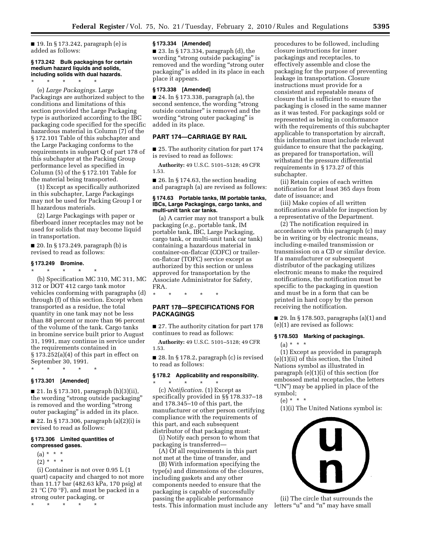■ 19. In § 173.242, paragraph (e) is added as follows:

#### **§ 173.242 Bulk packagings for certain medium hazard liquids and solids, including solids with dual hazards.**

\* \* \* \* \*

(e) *Large Packagings.* Large Packagings are authorized subject to the conditions and limitations of this section provided the Large Packaging type is authorized according to the IBC packaging code specified for the specific hazardous material in Column (7) of the § 172.101 Table of this subchapter and the Large Packaging conforms to the requirements in subpart Q of part 178 of this subchapter at the Packing Group performance level as specified in Column (5) of the § 172.101 Table for the material being transported.

(1) Except as specifically authorized in this subchapter, Large Packagings may not be used for Packing Group I or II hazardous materials.

(2) Large Packagings with paper or fiberboard inner receptacles may not be used for solids that may become liquid in transportation.

■ 20. In § 173.249, paragraph (b) is revised to read as follows:

#### **§ 173.249 Bromine.**

\* \* \* \* \* (b) Specification MC 310, MC 311, MC 312 or DOT 412 cargo tank motor vehicles conforming with paragraphs (d) through (f) of this section. Except when transported as a residue, the total quantity in one tank may not be less than 88 percent or more than 96 percent of the volume of the tank. Cargo tanks in bromine service built prior to August 31, 1991, may continue in service under the requirements contained in § 173.252(a)(4) of this part in effect on September 30, 1991.

\* \* \* \* \*

#### **§ 173.301 [Amended]**

■ 21. In § 173.301, paragraph (h)(3)(ii), the wording ''strong outside packaging'' is removed and the wording ''strong outer packaging'' is added in its place.  $\blacksquare$  22. In § 173.306, paragraph  $(a)(2)(i)$  is revised to read as follows:

#### **§ 173.306 Limited quantities of compressed gases.**

- $(a) * * * *$
- $(2) * * * *$

(i) Container is not over 0.95 L (1 quart) capacity and charged to not more than 11.17 bar (482.63 kPa, 170 psig) at 21 °C (70 °F), and must be packed in a strong outer packaging, or

\* \* \* \* \*

#### **§ 173.334 [Amended]**

 $\blacksquare$  23. In § 173.334, paragraph (d), the wording "strong outside packaging" is removed and the wording ''strong outer packaging'' is added in its place in each place it appears.

#### **§ 173.338 [Amended]**

■ 24. In § 173.338, paragraph (a), the second sentence, the wording ''strong outside container'' is removed and the wording "strong outer packaging" is added in its place.

#### **PART 174—CARRIAGE BY RAIL**

■ 25. The authority citation for part 174 is revised to read as follows:

**Authority:** 49 U.S.C. 5101–5128; 49 CFR 1.53.

■ 26. In § 174.63, the section heading and paragraph (a) are revised as follows:

#### **§ 174.63 Portable tanks, IM portable tanks, IBCs, Large Packagings, cargo tanks, and multi-unit tank car tanks.**

(a) A carrier may not transport a bulk packaging (*e.g.,* portable tank, IM portable tank, IBC, Large Packaging, cargo tank, or multi-unit tank car tank) containing a hazardous material in container-on-flatcar (COFC) or traileron-flatcar (TOFC) service except as authorized by this section or unless approved for transportation by the Associate Administrator for Safety, FRA.

\* \* \* \* \*

#### **PART 178—SPECIFICATIONS FOR PACKAGINGS**

■ 27. The authority citation for part 178 continues to read as follows:

**Authority:** 49 U.S.C. 5101–5128; 49 CFR 1.53.

■ 28. In § 178.2, paragraph (c) is revised to read as follows:

#### **§ 178.2 Applicability and responsibility.**

\* \* \* \* \*

(c) *Notification.* (1) Except as specifically provided in §§ 178.337–18 and 178.345–10 of this part, the manufacturer or other person certifying compliance with the requirements of this part, and each subsequent distributor of that packaging must:

(i) Notify each person to whom that packaging is transferred—

(A) Of all requirements in this part not met at the time of transfer, and

(B) With information specifying the type(s) and dimensions of the closures, including gaskets and any other components needed to ensure that the packaging is capable of successfully passing the applicable performance tests. This information must include any

procedures to be followed, including closure instructions for inner packagings and receptacles, to effectively assemble and close the packaging for the purpose of preventing leakage in transportation. Closure instructions must provide for a consistent and repeatable means of closure that is sufficient to ensure the packaging is closed in the same manner as it was tested. For packagings sold or represented as being in conformance with the requirements of this subchapter applicable to transportation by aircraft, this information must include relevant guidance to ensure that the packaging, as prepared for transportation, will withstand the pressure differential requirements in § 173.27 of this subchapter.

(ii) Retain copies of each written notification for at least 365 days from date of issuance; and

(iii) Make copies of all written notifications available for inspection by a representative of the Department.

(2) The notification required in accordance with this paragraph (c) may be in writing or by electronic means, including e-mailed transmission or transmission on a CD or similar device. If a manufacturer or subsequent distributor of the packaging utilizes electronic means to make the required notifications, the notification must be specific to the packaging in question and must be in a form that can be printed in hard copy by the person receiving the notification.

■ 29. In § 178.503, paragraphs (a)(1) and (e)(1) are revised as follows:

#### **§ 178.503 Marking of packagings.**

 $(a) * * * *$ 

(1) Except as provided in paragraph (e)(1)(ii) of this section, the United Nations symbol as illustrated in paragraph (e)(1)(i) of this section (for embossed metal receptacles, the letters ''UN'') may be applied in place of the symbol;

(e) \* \* \*

(1)(i) The United Nations symbol is:



(ii) The circle that surrounds the letters "u" and "n" may have small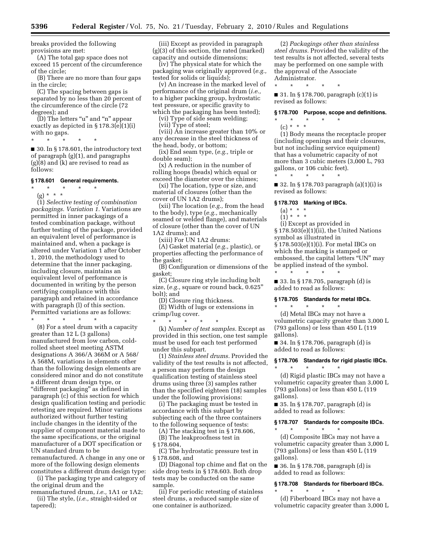breaks provided the following provisions are met:

(A) The total gap space does not exceed 15 percent of the circumference of the circle;

(B) There are no more than four gaps in the circle;

(C) The spacing between gaps is separated by no less than 20 percent of the circumference of the circle (72 degrees); and

(D) The letters "u" and "n" appear exactly as depicted in § 178.3(e)(1)(i) with no gaps.

\* \* \* \* \*

■ 30. In § 178.601, the introductory text of paragraph (g)(1), and paragraphs (g)(8) and (k) are revised to read as follows:

#### **§ 178.601 General requirements.**

\* \* \* \* \*

(g) \* \* \* (1) *Selective testing of combination packagings. Variation 1.* Variations are permitted in inner packagings of a tested combination package, without further testing of the package, provided an equivalent level of performance is maintained and, when a package is altered under Variation 1 after October 1, 2010, the methodology used to determine that the inner packaging, including closure, maintains an equivalent level of performance is documented in writing by the person certifying compliance with this paragraph and retained in accordance with paragraph (l) of this section. Permitted variations are as follows:

\* \* \* \* \*

(8) For a steel drum with a capacity greater than 12 L (3 gallons) manufactured from low carbon, coldrolled sheet steel meeting ASTM designations A 366/A 366M or A 568/ A 568M, variations in elements other than the following design elements are considered minor and do not constitute a different drum design type, or ''different packaging'' as defined in paragraph (c) of this section for which design qualification testing and periodic retesting are required. Minor variations authorized without further testing include changes in the identity of the supplier of component material made to the same specifications, or the original manufacturer of a DOT specification or UN standard drum to be remanufactured. A change in any one or more of the following design elements

constitutes a different drum design type: (i) The packaging type and category of

the original drum and the remanufactured drum, *i.e.,* 1A1 or 1A2; (ii) The style, (*i.e.,* straight-sided or

tapered);

(iii) Except as provided in paragraph (g)(3) of this section, the rated (marked) capacity and outside dimensions;

(iv) The physical state for which the packaging was originally approved (*e.g.,*  tested for solids or liquids);

(v) An increase in the marked level of performance of the original drum (*i.e.,*  to a higher packing group, hydrostatic test pressure, or specific gravity to which the packaging has been tested);

(vi) Type of side seam welding; (vii) Type of steel;

(viii) An increase greater than 10% or any decrease in the steel thickness of the head, body, or bottom;

(ix) End seam type, (*e.g.,* triple or double seam);

(x) A reduction in the number of rolling hoops (beads) which equal or exceed the diameter over the chimes;

(xi) The location, type or size, and material of closures (other than the cover of UN 1A2 drums);

(xii) The location (*e.g.,* from the head to the body), type (*e.g.,* mechanically seamed or welded flange), and materials of closure (other than the cover of UN 1A2 drums); and

(xiii) For UN 1A2 drums:

(A) Gasket material (*e.g.,* plastic), or properties affecting the performance of the gasket;

(B) Configuration or dimensions of the gasket;

(C) Closure ring style including bolt size, (*e.g.,* square or round back, 0.625'' bolt); and

(D) Closure ring thickness.

(E) Width of lugs or extensions in crimp/lug cover. \* \* \* \* \*

(k) *Number of test samples.* Except as provided in this section, one test sample must be used for each test performed under this subpart.

(1) *Stainless steel drums.* Provided the validity of the test results is not affected, a person may perform the design qualification testing of stainless steel drums using three (3) samples rather than the specified eighteen (18) samples under the following provisions:

(i) The packaging must be tested in accordance with this subpart by subjecting each of the three containers to the following sequence of tests:

(A) The stacking test in § 178.606, (B) The leakproofness test in

§ 178.604,

(C) The hydrostatic pressure test in § 178.608, and

(D) Diagonal top chime and flat on the side drop tests in § 178.603. Both drop tests may be conducted on the same sample.

(ii) For periodic retesting of stainless steel drums, a reduced sample size of one container is authorized.

(2) *Packagings other than stainless steel drums.* Provided the validity of the test results is not affected, several tests may be performed on one sample with the approval of the Associate Administrator.

\* \* \* \* \*

■ 31. In § 178.700, paragraph (c)(1) is revised as follows:

#### **§ 178.700 Purpose, scope and definitions.**

\* \* \* \* \*  $(c) * * * *$ 

(1) Body means the receptacle proper (including openings and their closures, but not including service equipment) that has a volumetric capacity of not more than 3 cubic meters (3,000 L, 793 gallons, or 106 cubic feet). \* \* \* \* \*

 $\blacksquare$  32. In § 178.703 paragraph (a)(1)(i) is revised as follows:

#### **§ 178.703 Marking of IBCs.**

 $(a) * * * *$ 

 $(1) * * * *$ 

(i) Except as provided in  $§ 178.503(e)(1)(ii)$ , the United Nations symbol as illustrated in § 178.503(e)(1)(i). For metal IBCs on which the marking is stamped or embossed, the capital letters ''UN'' may be applied instead of the symbol. \* \* \* \* \*

■ 33. In § 178.705, paragraph (d) is added to read as follows:

#### **§ 178.705 Standards for metal IBCs.**  \* \* \* \* \*

(d) Metal IBCs may not have a volumetric capacity greater than 3,000 L (793 gallons) or less than 450 L (119 gallons).

■ 34. In § 178.706, paragraph (d) is added to read as follows:

\* \* \* \* \*

#### **§ 178.706 Standards for rigid plastic IBCs.**

(d) Rigid plastic IBCs may not have a volumetric capacity greater than 3,000 L (793 gallons) or less than 450 L (119 gallons).

■ 35. In § 178.707, paragraph (d) is added to read as follows:

#### **§ 178.707 Standards for composite IBCs.**

\* \* \* \* \* (d) Composite IBCs may not have a volumetric capacity greater than 3,000 L (793 gallons) or less than 450 L (119 gallons).

■ 36. In § 178.708, paragraph (d) is added to read as follows:

\* \* \* \* \*

#### **§ 178.708 Standards for fiberboard IBCs.**

(d) Fiberboard IBCs may not have a volumetric capacity greater than 3,000 L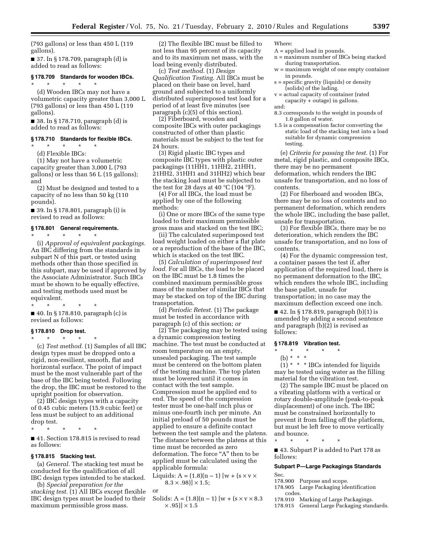(793 gallons) or less than 450 L (119 gallons).

■ 37. In § 178.709, paragraph (d) is added to read as follows:

\* \* \* \* \*

#### **§ 178.709 Standards for wooden IBCs.**

(d) Wooden IBCs may not have a volumetric capacity greater than 3,000 L (793 gallons) or less than 450 L (119 gallons).

■ 38. In § 178.710, paragraph (d) is added to read as follows:

#### **§ 178.710 Standards for flexible IBCs.**

\* \* \* \* \*

(d) Flexible IBCs:

(1) May not have a volumetric capacity greater than 3,000 L (793 gallons) or less than 56 L (15 gallons); and

(2) Must be designed and tested to a capacity of no less than 50 kg (110 pounds).

■ 39. In § 178.801, paragraph (i) is revised to read as follows:

#### **§ 178.801 General requirements.**

\* \* \* \* \* (i) *Approval of equivalent packagings.*  An IBC differing from the standards in subpart N of this part, or tested using methods other than those specified in this subpart, may be used if approved by the Associate Administrator. Such IBCs must be shown to be equally effective, and testing methods used must be equivalent.

\* \* \* \* \*

■ 40. In § 178.810, paragraph (c) is revised as follows:

#### **§ 178.810 Drop test.**

\* \* \* \* \*

(c) *Test method.* (1) Samples of all IBC design types must be dropped onto a rigid, non-resilient, smooth, flat and horizontal surface. The point of impact must be the most vulnerable part of the base of the IBC being tested. Following the drop, the IBC must be restored to the upright position for observation.

(2) IBC design types with a capacity of 0.45 cubic meters (15.9 cubic feet) or less must be subject to an additional drop test.

\* \* \* \* \*

■ 41. Section 178.815 is revised to read as follows:

#### **§ 178.815 Stacking test.**

(a) *General.* The stacking test must be conducted for the qualification of all IBC design types intended to be stacked.

(b) *Special preparation for the stacking test.* (1) All IBCs except flexible IBC design types must be loaded to their maximum permissible gross mass.

(2) The flexible IBC must be filled to not less than 95 percent of its capacity and to its maximum net mass, with the load being evenly distributed.

(c) *Test method.* (1) *Design Qualification Testing.* All IBCs must be placed on their base on level, hard ground and subjected to a uniformly distributed superimposed test load for a period of at least five minutes (see paragraph (c)(5) of this section).

(2) Fiberboard, wooden and composite IBCs with outer packagings constructed of other than plastic materials must be subject to the test for 24 hours.

(3) Rigid plastic IBC types and composite IBC types with plastic outer packagings (11HH1, 11HH2, 21HH1, 21HH2, 31HH1 and 31HH2) which bear the stacking load must be subjected to the test for 28 days at 40 °C (104 °F).

(4) For all IBCs, the load must be applied by one of the following methods:

(i) One or more IBCs of the same type loaded to their maximum permissible gross mass and stacked on the test IBC;

(ii) The calculated superimposed test load weight loaded on either a flat plate or a reproduction of the base of the IBC, which is stacked on the test IBC.

(5) *Calculation of superimposed test load.* For all IBCs, the load to be placed on the IBC must be 1.8 times the combined maximum permissible gross mass of the number of similar IBCs that may be stacked on top of the IBC during transportation.

(d) *Periodic Retest.* (1) The package must be tested in accordance with paragraph (c) of this section; *or* 

(2) The packaging may be tested using a dynamic compression testing machine. The test must be conducted at room temperature on an empty, unsealed packaging. The test sample must be centered on the bottom platen of the testing machine. The top platen must be lowered until it comes in contact with the test sample. Compression must be applied end to end. The speed of the compression tester must be one-half inch plus or minus one-fourth inch per minute. An initial preload of 50 pounds must be applied to ensure a definite contact between the test sample and the platens. The distance between the platens at this time must be recorded as zero deformation. The force "A" then to be applied must be calculated using the applicable formula:

Liquids:  $A = (1.8)(n - 1)$  [w + (s × v ×  $8.3 \times .98$ ]  $\times 1.5$ ;

or

Solids:  $A = (1.8)(n - 1)$  [w + (s × v × 8.3)  $\times .95$ ]  $\times 1.5$ 

Where:

- A = applied load in pounds.
- n = maximum number of IBCs being stacked during transportation.
- w = maximum weight of one empty container in pounds.
- s = specific gravity (liquids) or density (solids) of the lading.
- v = actual capacity of container (rated capacity + outage) in gallons.

- 8.3 corresponds to the weight in pounds of 1.0 gallon of water.
- 1.5 is a compensation factor converting the static load of the stacking test into a load suitable for dynamic compression testing.

(e) *Criteria for passing the test.* (1) For metal, rigid plastic, and composite IBCs, there may be no permanent deformation, which renders the IBC unsafe for transportation, and no loss of contents.

(2) For fiberboard and wooden IBCs, there may be no loss of contents and no permanent deformation, which renders the whole IBC, including the base pallet, unsafe for transportation.

(3) For flexible IBCs, there may be no deterioration, which renders the IBC unsafe for transportation, and no loss of contents.

(4) For the dynamic compression test, a container passes the test if, after application of the required load, there is no permanent deformation to the IBC, which renders the whole IBC, including the base pallet, unsafe for transportation; in no case may the maximum deflection exceed one inch.

■ 42. In § 178.819, paragraph (b)(1) is amended by adding a second sentence and paragraph (b)(2) is revised as follows:

#### **§ 178.819 Vibration test.**

\* \* \* \* \*

(b) \* \* \*

 $(1)$  \* \* \* IBCs intended for liquids may be tested using water as the filling material for the vibration test.

(2) The sample IBC must be placed on a vibrating platform with a vertical or rotary double-amplitude (peak-to-peak displacement) of one inch. The IBC must be constrained horizontally to prevent it from falling off the platform, but must be left free to move vertically and bounce.

\* \* \* \* \*

■ 43. Subpart P is added to Part 178 as follows:

#### **Subpart P—Large Packagings Standards**  Sec.

- 178.900 Purpose and scope.
- 178.905 Large Packaging identification codes.
- 178.910 Marking of Large Packagings.
- 178.915 General Large Packaging standards.

and: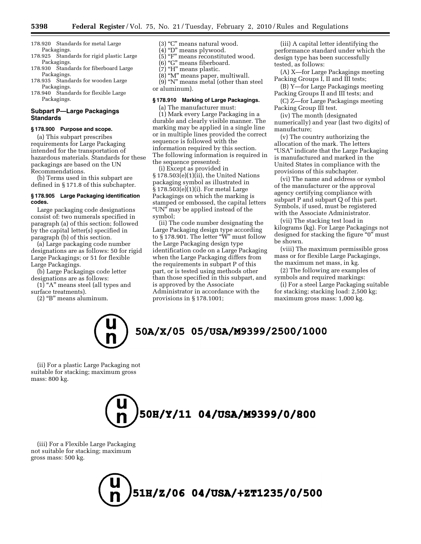- 178.920 Standards for metal Large Packagings.
- 178.925 Standards for rigid plastic Large Packagings.
- 178.930 Standards for fiberboard Large Packagings.
- 178.935 Standards for wooden Large Packagings.
- 178.940 Standards for flexible Large Packagings.

#### **Subpart P—Large Packagings Standards**

#### **§ 178.900 Purpose and scope.**

(a) This subpart prescribes requirements for Large Packaging intended for the transportation of hazardous materials. Standards for these packagings are based on the UN Recommendations.

(b) Terms used in this subpart are defined in § 171.8 of this subchapter.

#### **§ 178.905 Large Packaging identification codes.**

Large packaging code designations consist of: two numerals specified in paragraph (a) of this section; followed by the capital letter(s) specified in paragraph (b) of this section.

(a) Large packaging code number designations are as follows: 50 for rigid Large Packagings; or 51 for flexible Large Packagings.

(b) Large Packagings code letter designations are as follows:

 $(1)$  "A" means steel (all types and surface treatments).

(2) ''B'' means aluminum.

(3) "C" means natural wood.

 $(4)$  "D" means plywood.

(5) ''F'' means reconstituted wood.

- (6) ''G'' means fiberboard.
- $(7)$  "H" means plastic.

(8) ''M'' means paper, multiwall. (9) ''N'' means metal (other than steel or aluminum).

#### **§ 178.910 Marking of Large Packagings.**

(a) The manufacturer must: (1) Mark every Large Packaging in a durable and clearly visible manner. The marking may be applied in a single line or in multiple lines provided the correct sequence is followed with the information required by this section. The following information is required in the sequence presented:

(i) Except as provided in § 178.503(e)(1)(ii), the United Nations packaging symbol as illustrated in § 178.503(e)(1)(i). For metal Large Packagings on which the marking is stamped or embossed, the capital letters ''UN'' may be applied instead of the symbol;

(ii) The code number designating the Large Packaging design type according to §178.901. The letter "W" must follow the Large Packaging design type identification code on a Large Packaging when the Large Packaging differs from the requirements in subpart P of this part, or is tested using methods other than those specified in this subpart, and is approved by the Associate Administrator in accordance with the provisions in § 178.1001;

(iii) A capital letter identifying the performance standard under which the design type has been successfully tested, as follows:

(A) X—for Large Packagings meeting Packing Groups I, II and III tests;

(B) Y—for Large Packagings meeting Packing Groups II and III tests; and

(C) Z—for Large Packagings meeting Packing Group III test.

(iv) The month (designated numerically) and year (last two digits) of manufacture;

(v) The country authorizing the allocation of the mark. The letters ''USA'' indicate that the Large Packaging is manufactured and marked in the United States in compliance with the provisions of this subchapter.

(vi) The name and address or symbol of the manufacturer or the approval agency certifying compliance with subpart P and subpart Q of this part. Symbols, if used, must be registered with the Associate Administrator.

(vii) The stacking test load in kilograms (kg). For Large Packagings not designed for stacking the figure "0" must be shown.

(viii) The maximum permissible gross mass or for flexible Large Packagings, the maximum net mass, in kg.

(2) The following are examples of symbols and required markings:

(i) For a steel Large Packaging suitable for stacking; stacking load: 2,500 kg; maximum gross mass: 1,000 kg.

# 50A/X/05 05/USA/M9399/2500/1000

(ii) For a plastic Large Packaging not suitable for stacking; maximum gross mass: 800 kg.



(iii) For a Flexible Large Packaging not suitable for stacking; maximum gross mass: 500 kg.

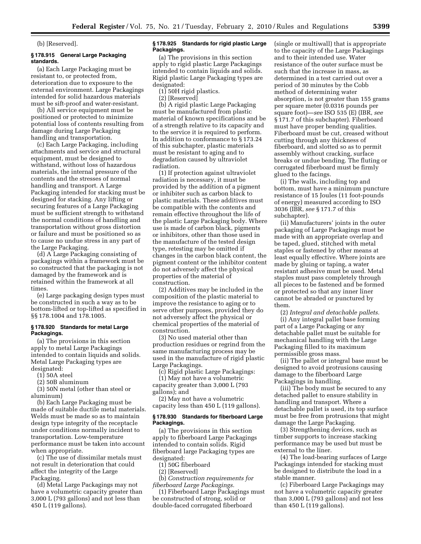(b) [Reserved].

#### **§ 178.915 General Large Packaging standards.**

(a) Each Large Packaging must be resistant to, or protected from, deterioration due to exposure to the external environment. Large Packagings intended for solid hazardous materials must be sift-proof and water-resistant.

(b) All service equipment must be positioned or protected to minimize potential loss of contents resulting from damage during Large Packaging handling and transportation.

(c) Each Large Packaging, including attachments and service and structural equipment, must be designed to withstand, without loss of hazardous materials, the internal pressure of the contents and the stresses of normal handling and transport. A Large Packaging intended for stacking must be designed for stacking. Any lifting or securing features of a Large Packaging must be sufficient strength to withstand the normal conditions of handling and transportation without gross distortion or failure and must be positioned so as to cause no undue stress in any part of the Large Packaging.

(d) A Large Packaging consisting of packagings within a framework must be so constructed that the packaging is not damaged by the framework and is retained within the framework at all times.

(e) Large packaging design types must be constructed in such a way as to be bottom-lifted or top-lifted as specified in §§ 178.1004 and 178.1005.

#### **§ 178.920 Standards for metal Large Packagings.**

(a) The provisions in this section apply to metal Large Packagings intended to contain liquids and solids. Metal Large Packaging types are designated:

(1) 50A steel

(2) 50B aluminum

(3) 50N metal (other than steel or aluminum)

(b) Each Large Packaging must be made of suitable ductile metal materials. Welds must be made so as to maintain design type integrity of the receptacle under conditions normally incident to transportation. Low-temperature performance must be taken into account when appropriate.

(c) The use of dissimilar metals must not result in deterioration that could affect the integrity of the Large Packaging.

(d) Metal Large Packagings may not have a volumetric capacity greater than 3,000 L (793 gallons) and not less than 450 L (119 gallons).

#### **§ 178.925 Standards for rigid plastic Large Packagings.**

(a) The provisions in this section apply to rigid plastic Large Packagings intended to contain liquids and solids. Rigid plastic Large Packaging types are designated:

(1) 50H rigid plastics.

(2) [Reserved]

(b) A rigid plastic Large Packaging must be manufactured from plastic material of known specifications and be of a strength relative to its capacity and to the service it is required to perform. In addition to conformance to § 173.24 of this subchapter, plastic materials must be resistant to aging and to degradation caused by ultraviolet radiation.

(1) If protection against ultraviolet radiation is necessary, it must be provided by the addition of a pigment or inhibiter such as carbon black to plastic materials. These additives must be compatible with the contents and remain effective throughout the life of the plastic Large Packaging body. Where use is made of carbon black, pigments or inhibitors, other than those used in the manufacture of the tested design type, retesting may be omitted if changes in the carbon black content, the pigment content or the inhibitor content do not adversely affect the physical properties of the material of construction.

(2) Additives may be included in the composition of the plastic material to improve the resistance to aging or to serve other purposes, provided they do not adversely affect the physical or chemical properties of the material of construction.

(3) No used material other than production residues or regrind from the same manufacturing process may be used in the manufacture of rigid plastic Large Packagings.

(c) Rigid plastic Large Packagings:

(1) May not have a volumetric capacity greater than 3,000 L (793 gallons); and

(2) May not have a volumetric capacity less than 450 L (119 gallons).

#### **§ 178.930 Standards for fiberboard Large Packagings.**

(a) The provisions in this section apply to fiberboard Large Packagings intended to contain solids. Rigid fiberboard large Packaging types are designated:

(1) 50G fiberboard

(2) [Reserved]

(b) *Construction requirements for fiberboard Large Packagings.* 

(1) Fiberboard Large Packagings must be constructed of strong, solid or double-faced corrugated fiberboard

(single or multiwall) that is appropriate to the capacity of the Large Packagings and to their intended use. Water resistance of the outer surface must be such that the increase in mass, as determined in a test carried out over a period of 30 minutes by the Cobb method of determining water absorption, is not greater than 155 grams per square meter (0.0316 pounds per square foot)—*see* ISO 535 (E) (IBR, *see*  § 171.7 of this subchapter). Fiberboard must have proper bending qualities. Fiberboard must be cut, creased without cutting through any thickness of fiberboard, and slotted so as to permit assembly without cracking, surface breaks or undue bending. The fluting or corrugated fiberboard must be firmly glued to the facings.

(i) The walls, including top and bottom, must have a minimum puncture resistance of 15 Joules (11 foot-pounds of energy) measured according to ISO 3036 (IBR, *see* § 171.7 of this subchapter).

(ii) Manufacturers' joints in the outer packaging of Large Packagings must be made with an appropriate overlap and be taped, glued, stitched with metal staples or fastened by other means at least equally effective. Where joints are made by gluing or taping, a water resistant adhesive must be used. Metal staples must pass completely through all pieces to be fastened and be formed or protected so that any inner liner cannot be abraded or punctured by them.

(2) *Integral and detachable pallets.* 

(i) Any integral pallet base forming part of a Large Packaging or any detachable pallet must be suitable for mechanical handling with the Large Packaging filled to its maximum permissible gross mass.

(ii) The pallet or integral base must be designed to avoid protrusions causing damage to the fiberboard Large Packagings in handling.

(iii) The body must be secured to any detached pallet to ensure stability in handling and transport. Where a detachable pallet is used, its top surface must be free from protrusions that might damage the Large Packaging.

(3) Strengthening devices, such as timber supports to increase stacking performance may be used but must be external to the liner.

(4) The load-bearing surfaces of Large Packagings intended for stacking must be designed to distribute the load in a stable manner.

(c) Fiberboard Large Packagings may not have a volumetric capacity greater than 3,000 L (793 gallons) and not less than 450 L (119 gallons).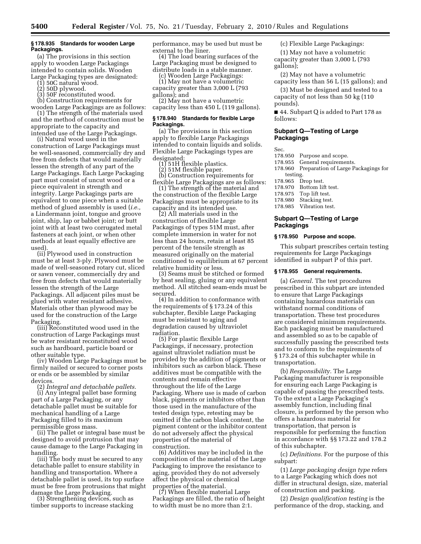#### **§ 178.935 Standards for wooden Large Packagings.**

(a) The provisions in this section apply to wooden Large Packagings intended to contain solids. Wooden Large Packaging types are designated: (1) 50C natural wood.

- 
- (2) 50D plywood.
- (3) 50F reconstituted wood.

(b) Construction requirements for

wooden Large Packagings are as follows: (1) The strength of the materials used and the method of construction must be appropriate to the capacity and

intended use of the Large Packagings. (i) Natural wood used in the construction of Large Packagings must be well-seasoned, commercially dry and free from defects that would materially lessen the strength of any part of the Large Packagings. Each Large Packaging part must consist of uncut wood or a piece equivalent in strength and integrity. Large Packagings parts are equivalent to one piece when a suitable method of glued assembly is used (*i.e.,*  a Lindermann joint, tongue and groove joint, ship, lap or babbet joint; or butt joint with at least two corrugated metal fasteners at each joint, or when other methods at least equally effective are used).

(ii) Plywood used in construction must be at least 3-ply. Plywood must be made of well-seasoned rotary cut, sliced or sawn veneer, commercially dry and free from defects that would materially lessen the strength of the Large Packagings. All adjacent piles must be glued with water resistant adhesive. Materials other than plywood may be used for the construction of the Large

Packaging. (iii) Reconstituted wood used in the construction of Large Packagings must be water resistant reconstituted wood such as hardboard, particle board or

other suitable type. (iv) Wooden Large Packagings must be firmly nailed or secured to corner posts or ends or be assembled by similar devices.<br>(2) Integral and detachable pallets.

(2) *Integral and detachable pallets.* (i) Any integral pallet base forming part of a Large Packaging, or any detachable pallet must be suitable for mechanical handling of a Large Packaging filled to its maximum

(ii) The pallet or integral base must be. designed to avoid protrusion that may cause damage to the Large Packaging in

(iii) The body must be secured to any detachable pallet to ensure stability in handling and transportation. Where a detachable pallet is used, its top surface must be free from protrusions that might

damage the Large Packaging. (3) Strengthening devices, such as timber supports to increase stacking performance, may be used but must be external to the liner.

(4) The load bearing surfaces of the Large Packaging must be designed to distribute loads in a stable manner.

(c) Wooden Large Packagings:

(1) May not have a volumetric capacity greater than 3,000 L (793

 $(2)$  May not have a volumetric capacity less than 450 L (119 gallons).

#### **§ 178.940 Standards for flexible Large Packagings.**

(a) The provisions in this section apply to flexible Large Packagings intended to contain liquids and solids. Flexible Large Packagings types are

 $(1)$  51H flexible plastics.

(2) 51M flexible paper.

(b) Construction requirements for flexible Large Packagings are as follows: (1) The strength of the material and

the construction of the flexible Large Packagings must be appropriate to its capacity and its intended use. (2) All materials used in the

construction of flexible Large Packagings of types 51M must, after complete immersion in water for not less than 24 hours, retain at least 85 percent of the tensile strength as measured originally on the material conditioned to equilibrium at 67 percent relative humidity or less. (3) Seams must be stitched or formed

by heat sealing, gluing or any equivalent method. All stitched seam-ends must be secured.

(4) In addition to conformance with the requirements of § 173.24 of this subchapter, flexible Large Packaging must be resistant to aging and degradation caused by ultraviolet radiation.

(5) For plastic flexible Large Packagings, if necessary, protection against ultraviolet radiation must be provided by the addition of pigments or inhibitors such as carbon black. These additives must be compatible with the contents and remain effective throughout the life of the Large Packaging. Where use is made of carbon black, pigments or inhibitors other than those used in the manufacture of the tested design type, retesting may be omitted if the carbon black content, the pigment content or the inhibitor content do not adversely affect the physical properties of the material of construction.

(6) Additives may be included in the composition of the material of the Large Packaging to improve the resistance to aging, provided they do not adversely affect the physical or chemical<br>properties of the material.

(7) When flexible material Large Packagings are filled, the ratio of height to width must be no more than 2:1.

(c) Flexible Large Packagings:

(1) May not have a volumetric capacity greater than 3,000 L (793 gallons);

(2) May not have a volumetric capacity less than 56 L (15 gallons); and

(3) Must be designed and tested to a capacity of not less than 50 kg (110 pounds).

■ 44. Subpart Q is added to Part 178 as follows:

#### **Subpart Q—Testing of Large Packagings**

Sec.

- 178.950 Purpose and scope.
- 178.955 General requirements.
- 178.960 Preparation of Large Packagings for testing<br>178.965 L
	- Drop test.
- 178.970 Bottom lift test.
- 178.975 Top lift test.
- 178.980 Stacking test.
- 178.985 Vibration test.

#### **Subpart Q—Testing of Large Packagings**

#### **§ 178.950 Purpose and scope.**

This subpart prescribes certain testing requirements for Large Packagings identified in subpart P of this part.

#### **§ 178.955 General requirements.**

(a) *General.* The test procedures prescribed in this subpart are intended to ensure that Large Packagings containing hazardous materials can withstand normal conditions of transportation. These test procedures are considered minimum requirements. Each packaging must be manufactured and assembled so as to be capable of successfully passing the prescribed tests and to conform to the requirements of § 173.24 of this subchapter while in transportation.

(b) *Responsibility.* The Large Packaging manufacturer is responsible for ensuring each Large Packaging is capable of passing the prescribed tests. To the extent a Large Packaging's assembly function, including final closure, is performed by the person who offers a hazardous material for transportation, that person is responsible for performing the function in accordance with §§ 173.22 and 178.2 of this subchapter.

(c) *Definitions.* For the purpose of this subpart:

(1) *Large packaging design type* refers to a Large Packaging which does not differ in structural design, size, material of construction and packing.

(2) *Design qualification testing* is the performance of the drop, stacking, and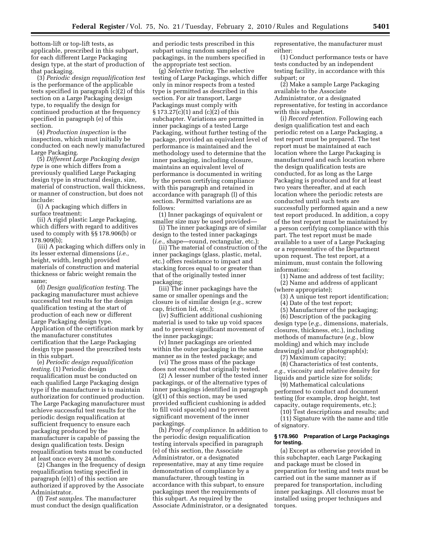bottom-lift or top-lift tests, as applicable, prescribed in this subpart, for each different Large Packaging design type, at the start of production of that packaging.

(3) *Periodic design requalification test*  is the performance of the applicable tests specified in paragraph (c)(2) of this section on a Large Packaging design type, to requalify the design for continued production at the frequency specified in paragraph (e) of this section.

(4) *Production inspection* is the inspection, which must initially be conducted on each newly manufactured Large Packaging.

(5) *Different Large Packaging design type* is one which differs from a previously qualified Large Packaging design type in structural design, size, material of construction, wall thickness, or manner of construction, but does not include:

(i) A packaging which differs in surface treatment;

(ii) A rigid plastic Large Packaging, which differs with regard to additives used to comply with §§ 178.906(b) or 178.909(b);

(iii) A packaging which differs only in its lesser external dimensions (*i.e.,*  height, width, length) provided materials of construction and material thickness or fabric weight remain the same;

(d) *Design qualification testing.* The packaging manufacturer must achieve successful test results for the design qualification testing at the start of production of each new or different Large Packaging design type. Application of the certification mark by the manufacturer constitutes certification that the Large Packaging design type passed the prescribed tests in this subpart.

(e) *Periodic design requalification testing.* (1) Periodic design requalification must be conducted on each qualified Large Packaging design type if the manufacturer is to maintain authorization for continued production. The Large Packaging manufacturer must achieve successful test results for the periodic design requalification at sufficient frequency to ensure each packaging produced by the manufacturer is capable of passing the design qualification tests. Design requalification tests must be conducted at least once every 24 months.

(2) Changes in the frequency of design requalification testing specified in paragraph (e)(1) of this section are authorized if approved by the Associate Administrator.

(f) *Test samples.* The manufacturer must conduct the design qualification and periodic tests prescribed in this subpart using random samples of packagings, in the numbers specified in the appropriate test section.

(g) *Selective testing.* The selective testing of Large Packagings, which differ only in minor respects from a tested type is permitted as described in this section. For air transport, Large Packagings must comply with § 173.27(c)(1) and (c)(2) of this subchapter. Variations are permitted in inner packagings of a tested Large Packaging, without further testing of the package, provided an equivalent level of performance is maintained and the methodology used to determine that the inner packaging, including closure, maintains an equivalent level of performance is documented in writing by the person certifying compliance with this paragraph and retained in accordance with paragraph (l) of this section. Permitted variations are as follows:

(1) Inner packagings of equivalent or smaller size may be used provided—

(i) The inner packagings are of similar design to the tested inner packagings (*i.e.,* shape—round, rectangular, etc.);

(ii) The material of construction of the inner packagings (glass, plastic, metal, etc.) offers resistance to impact and stacking forces equal to or greater than that of the originally tested inner packaging;

(iii) The inner packagings have the same or smaller openings and the closure is of similar design (*e.g.,* screw cap, friction lid, etc.);

(iv) Sufficient additional cushioning material is used to take up void spaces and to prevent significant movement of the inner packagings;

(v) Inner packagings are oriented within the outer packaging in the same manner as in the tested package; and

(vi) The gross mass of the package does not exceed that originally tested.

(2) A lesser number of the tested inner packagings, or of the alternative types of inner packagings identified in paragraph (g)(1) of this section, may be used provided sufficient cushioning is added to fill void space(s) and to prevent significant movement of the inner packagings.

(h) *Proof of compliance.* In addition to the periodic design requalification testing intervals specified in paragraph (e) of this section, the Associate Administrator, or a designated representative, may at any time require demonstration of compliance by a manufacturer, through testing in accordance with this subpart, to ensure packagings meet the requirements of this subpart. As required by the Associate Administrator, or a designated representative, the manufacturer must either:

(1) Conduct performance tests or have tests conducted by an independent testing facility, in accordance with this subpart; or

(2) Make a sample Large Packaging available to the Associate Administrator, or a designated representative, for testing in accordance with this subpart.

(i) *Record retention.* Following each design qualification test and each periodic retest on a Large Packaging, a test report must be prepared. The test report must be maintained at each location where the Large Packaging is manufactured and each location where the design qualification tests are conducted, for as long as the Large Packaging is produced and for at least two years thereafter, and at each location where the periodic retests are conducted until such tests are successfully performed again and a new test report produced. In addition, a copy of the test report must be maintained by a person certifying compliance with this part. The test report must be made available to a user of a Large Packaging or a representative of the Department upon request. The test report, at a minimum, must contain the following information:

(1) Name and address of test facility; (2) Name and address of applicant (where appropriate);

(3) A unique test report identification;

(4) Date of the test report;

(5) Manufacturer of the packaging;

(6) Description of the packaging design type (*e.g.,* dimensions, materials, closures, thickness, etc.), including methods of manufacture (*e.g.,* blow molding) and which may include drawing(s) and/or photograph(s);

(7) Maximum capacity;

(8) Characteristics of test contents, *e.g.,* viscosity and relative density for liquids and particle size for solids;

(9) Mathematical calculations performed to conduct and document testing (for example, drop height, test capacity, outage requirements, etc.);

(10) Test descriptions and results; and (11) Signature with the name and title of signatory.

#### **§ 178.960 Preparation of Large Packagings for testing.**

(a) Except as otherwise provided in this subchapter, each Large Packaging and package must be closed in preparation for testing and tests must be carried out in the same manner as if prepared for transportation, including inner packagings. All closures must be installed using proper techniques and torques.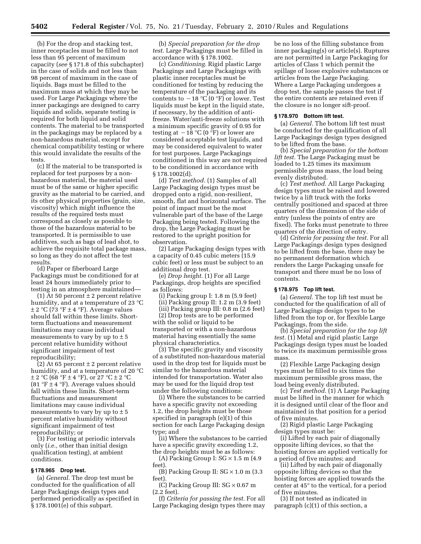(b) For the drop and stacking test, inner receptacles must be filled to not less than 95 percent of maximum capacity (*see* § 171.8 of this subchapter) in the case of solids and not less than 98 percent of maximum in the case of liquids. Bags must be filled to the maximum mass at which they may be used. For Large Packagings where the inner packagings are designed to carry liquids and solids, separate testing is required for both liquid and solid contents. The material to be transported in the packagings may be replaced by a non-hazardous material, except for chemical compatibility testing or where this would invalidate the results of the tests.

(c) If the material to be transported is replaced for test purposes by a nonhazardous material, the material used must be of the same or higher specific gravity as the material to be carried, and its other physical properties (grain, size, viscosity) which might influence the results of the required tests must correspond as closely as possible to those of the hazardous material to be transported. It is permissible to use additives, such as bags of lead shot, to achieve the requisite total package mass, so long as they do not affect the test results.

(d) Paper or fiberboard Large Packagings must be conditioned for at least 24 hours immediately prior to testing in an atmosphere maintained—

(1) At 50 percent  $\pm$  2 percent relative humidity, and at a temperature of 23 °C  $\pm$  2 °C (73 °F  $\pm$  4 °F). Average values should fall within these limits. Shortterm fluctuations and measurement limitations may cause individual measurements to vary by up to  $\pm$  5 percent relative humidity without significant impairment of test reproducibility;

(2) At 65 percent  $\pm 2$  percent relative humidity, and at a temperature of 20 °C  $\pm$  2 °C (68 °F  $\pm$  4 °F), or 27 °C  $\pm$  2 °C (81 °F  $\pm$  4 °F). Average values should fall within these limits. Short-term fluctuations and measurement limitations may cause individual measurements to vary by up to  $\pm$  5 percent relative humidity without significant impairment of test reproducibility; or

(3) For testing at periodic intervals only (*i.e.,* other than initial design qualification testing), at ambient conditions.

#### **§ 178.965 Drop test.**

(a) *General.* The drop test must be conducted for the qualification of all Large Packagings design types and performed periodically as specified in § 178.1001(e) of this subpart.

(b) *Special preparation for the drop test.* Large Packagings must be filled in accordance with § 178.1002.

(c) *Conditioning.* Rigid plastic Large Packagings and Large Packagings with plastic inner receptacles must be conditioned for testing by reducing the temperature of the packaging and its contents to  $-18$  °C (0 °F) or lower. Test liquids must be kept in the liquid state, if necessary, by the addition of antifreeze. Water/anti-freeze solutions with a minimum specific gravity of 0.95 for testing at  $-18$  °C (0 °F) or lower are considered acceptable test liquids, and may be considered equivalent to water for test purposes. Large Packagings conditioned in this way are not required to be conditioned in accordance with § 178.1002(d).

(d) *Test method.* (1) Samples of all Large Packaging design types must be dropped onto a rigid, non-resilient, smooth, flat and horizontal surface. The point of impact must be the most vulnerable part of the base of the Large Packaging being tested. Following the drop, the Large Packaging must be restored to the upright position for observation.

(2) Large Packaging design types with a capacity of 0.45 cubic meters (15.9 cubic feet) or less must be subject to an additional drop test.

(e) *Drop height.* (1) For all Large Packagings, drop heights are specified as follows:

(i) Packing group I: 1.8 m (5.9 feet)

(ii) Packing group II: 1.2 m (3.9 feet)

(iii) Packing group III: 0.8 m (2.6 feet)

(2) Drop tests are to be performed with the solid or liquid to be transported or with a non-hazardous material having essentially the same physical characteristics.

(3) The specific gravity and viscosity of a substituted non-hazardous material used in the drop test for liquids must be similar to the hazardous material intended for transportation. Water also may be used for the liquid drop test under the following conditions:

(i) Where the substances to be carried have a specific gravity not exceeding 1.2, the drop heights must be those specified in paragraph (e)(1) of this section for each Large Packaging design type; and

(ii) Where the substances to be carried have a specific gravity exceeding 1.2, the drop heights must be as follows:

(A) Packing Group I:  $SG \times 1.5$  m (4.9) feet).

(B) Packing Group II:  $SG \times 1.0$  m (3.3) feet).

(C) Packing Group III:  $SG \times 0.67$  m (2.2 feet).

(f) *Criteria for passing the test.* For all Large Packaging design types there may be no loss of the filling substance from inner packaging(s) or article(s). Ruptures are not permitted in Large Packaging for articles of Class 1 which permit the spillage of loose explosive substances or articles from the Large Packaging. Where a Large Packaging undergoes a drop test, the sample passes the test if the entire contents are retained even if the closure is no longer sift-proof.

#### **§ 178.970 Bottom lift test.**

(a) *General.* The bottom lift test must be conducted for the qualification of all Large Packagings design types designed to be lifted from the base.

(b) *Special preparation for the bottom lift test.* The Large Packaging must be loaded to 1.25 times its maximum permissible gross mass, the load being evenly distributed.

(c) *Test method.* All Large Packaging design types must be raised and lowered twice by a lift truck with the forks centrally positioned and spaced at three quarters of the dimension of the side of entry (unless the points of entry are fixed). The forks must penetrate to three quarters of the direction of entry.

(d) *Criteria for passing the test.* For all Large Packagings design types designed to be lifted from the base, there may be no permanent deformation which renders the Large Packaging unsafe for transport and there must be no loss of contents.

#### **§ 178.975 Top lift test.**

(a) *General.* The top lift test must be conducted for the qualification of all of Large Packagings design types to be lifted from the top or, for flexible Large Packagings, from the side.

(b) *Special preparation for the top lift test.* (1) Metal and rigid plastic Large Packagings design types must be loaded to twice its maximum permissible gross mass.

(2) Flexible Large Packaging design types must be filled to six times the maximum permissible gross mass, the load being evenly distributed.

(c) *Test method.* (1) A Large Packaging must be lifted in the manner for which it is designed until clear of the floor and maintained in that position for a period of five minutes.

(2) Rigid plastic Large Packaging design types must be:

(i) Lifted by each pair of diagonally opposite lifting devices, so that the hoisting forces are applied vertically for a period of five minutes; and

(ii) Lifted by each pair of diagonally opposite lifting devices so that the hoisting forces are applied towards the center at 45° to the vertical, for a period of five minutes.

(3) If not tested as indicated in paragraph (c)(1) of this section, a